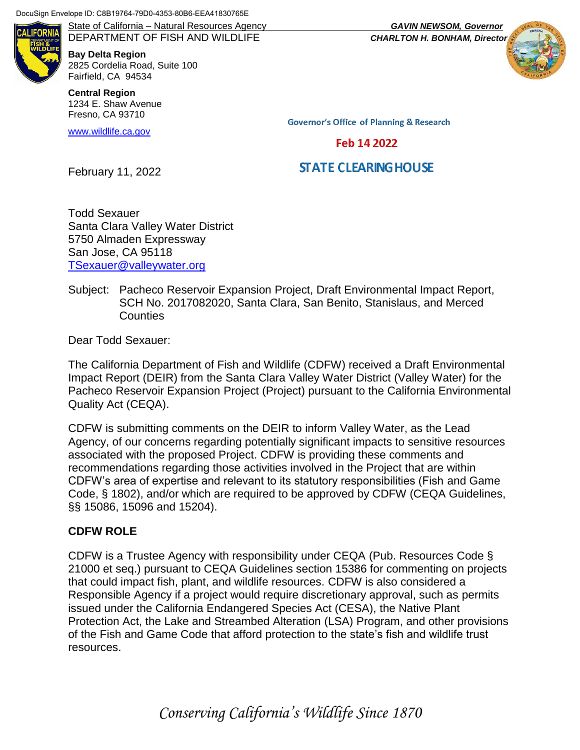DocuSign Envelope ID: C8B19764-79D0-4353-80B6-EEA41830765E

AI IFORNI

DEPARTMENT OF FISH AND WILDLIFE *CHARLTON H. BONHAM, Director* **Bay Delta Region** 2825 Cordelia Road, Suite 100 Fairfield, CA 94534

**Central Region** 1234 E. Shaw Avenue Fresno, CA 93710

[www.wildlife.ca.gov](http://www.wildlife.ca.gov/)

State of California – Natural Resources Agency *GAVIN NEWSOM, Governor*



**Governor's Office of Planning & Research** 

## Feb 14 2022

# **STATE CLEARING HOUSE**

February 11, 2022

Todd Sexauer Santa Clara Valley Water District 5750 Almaden Expressway San Jose, CA 95118 [TSexauer@valleywater.org](mailto:TSexauer@valleywater.org)

#### Subject: Pacheco Reservoir Expansion Project, Draft Environmental Impact Report, SCH No. 2017082020, Santa Clara, San Benito, Stanislaus, and Merced Counties

Dear Todd Sexauer:

The California Department of Fish and Wildlife (CDFW) received a Draft Environmental Impact Report (DEIR) from the Santa Clara Valley Water District (Valley Water) for the Pacheco Reservoir Expansion Project (Project) pursuant to the California Environmental Quality Act (CEQA).

CDFW is submitting comments on the DEIR to inform Valley Water, as the Lead Agency, of our concerns regarding potentially significant impacts to sensitive resources associated with the proposed Project. CDFW is providing these comments and recommendations regarding those activities involved in the Project that are within CDFW's area of expertise and relevant to its statutory responsibilities (Fish and Game Code, § 1802), and/or which are required to be approved by CDFW (CEQA Guidelines, §§ 15086, 15096 and 15204).

## **CDFW ROLE**

CDFW is a Trustee Agency with responsibility under CEQA (Pub. Resources Code § 21000 et seq.) pursuant to CEQA Guidelines section 15386 for commenting on projects that could impact fish, plant, and wildlife resources. CDFW is also considered a Responsible Agency if a project would require discretionary approval, such as permits issued under the California Endangered Species Act (CESA), the Native Plant Protection Act, the Lake and Streambed Alteration (LSA) Program, and other provisions of the Fish and Game Code that afford protection to the state's fish and wildlife trust resources.

*Conserving California's Wildlife Since 1870*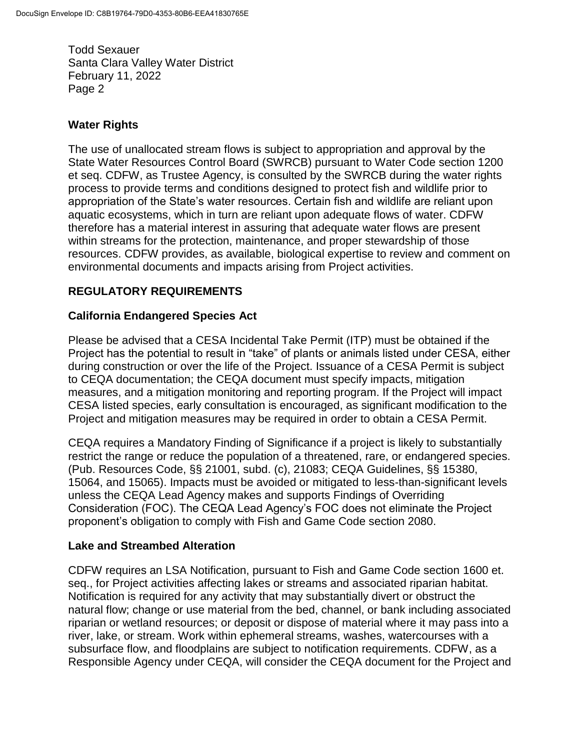## **Water Rights**

The use of unallocated stream flows is subject to appropriation and approval by the State Water Resources Control Board (SWRCB) pursuant to Water Code section 1200 et seq. CDFW, as Trustee Agency, is consulted by the SWRCB during the water rights process to provide terms and conditions designed to protect fish and wildlife prior to appropriation of the State's water resources. Certain fish and wildlife are reliant upon aquatic ecosystems, which in turn are reliant upon adequate flows of water. CDFW therefore has a material interest in assuring that adequate water flows are present within streams for the protection, maintenance, and proper stewardship of those resources. CDFW provides, as available, biological expertise to review and comment on environmental documents and impacts arising from Project activities.

# **REGULATORY REQUIREMENTS**

## **California Endangered Species Act**

Please be advised that a CESA Incidental Take Permit (ITP) must be obtained if the Project has the potential to result in "take" of plants or animals listed under CESA, either during construction or over the life of the Project. Issuance of a CESA Permit is subject to CEQA documentation; the CEQA document must specify impacts, mitigation measures, and a mitigation monitoring and reporting program. If the Project will impact CESA listed species, early consultation is encouraged, as significant modification to the Project and mitigation measures may be required in order to obtain a CESA Permit.

CEQA requires a Mandatory Finding of Significance if a project is likely to substantially restrict the range or reduce the population of a threatened, rare, or endangered species. (Pub. Resources Code, §§ 21001, subd. (c), 21083; CEQA Guidelines, §§ 15380, 15064, and 15065). Impacts must be avoided or mitigated to less-than-significant levels unless the CEQA Lead Agency makes and supports Findings of Overriding Consideration (FOC). The CEQA Lead Agency's FOC does not eliminate the Project proponent's obligation to comply with Fish and Game Code section 2080.

## **Lake and Streambed Alteration**

CDFW requires an LSA Notification, pursuant to Fish and Game Code section 1600 et. seq., for Project activities affecting lakes or streams and associated riparian habitat. Notification is required for any activity that may substantially divert or obstruct the natural flow; change or use material from the bed, channel, or bank including associated riparian or wetland resources; or deposit or dispose of material where it may pass into a river, lake, or stream. Work within ephemeral streams, washes, watercourses with a subsurface flow, and floodplains are subject to notification requirements. CDFW, as a Responsible Agency under CEQA, will consider the CEQA document for the Project and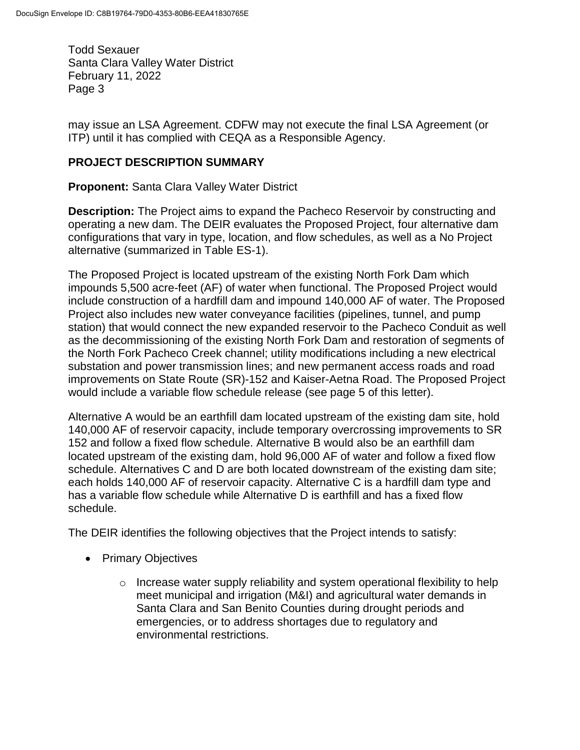may issue an LSA Agreement. CDFW may not execute the final LSA Agreement (or ITP) until it has complied with CEQA as a Responsible Agency.

## **PROJECT DESCRIPTION SUMMARY**

**Proponent:** Santa Clara Valley Water District

**Description:** The Project aims to expand the Pacheco Reservoir by constructing and operating a new dam. The DEIR evaluates the Proposed Project, four alternative dam configurations that vary in type, location, and flow schedules, as well as a No Project alternative (summarized in Table ES-1).

The Proposed Project is located upstream of the existing North Fork Dam which impounds 5,500 acre-feet (AF) of water when functional. The Proposed Project would include construction of a hardfill dam and impound 140,000 AF of water. The Proposed Project also includes new water conveyance facilities (pipelines, tunnel, and pump station) that would connect the new expanded reservoir to the Pacheco Conduit as well as the decommissioning of the existing North Fork Dam and restoration of segments of the North Fork Pacheco Creek channel; utility modifications including a new electrical substation and power transmission lines; and new permanent access roads and road improvements on State Route (SR)-152 and Kaiser-Aetna Road. The Proposed Project would include a variable flow schedule release (see page 5 of this letter).

Alternative A would be an earthfill dam located upstream of the existing dam site, hold 140,000 AF of reservoir capacity, include temporary overcrossing improvements to SR 152 and follow a fixed flow schedule. Alternative B would also be an earthfill dam located upstream of the existing dam, hold 96,000 AF of water and follow a fixed flow schedule. Alternatives C and D are both located downstream of the existing dam site; each holds 140,000 AF of reservoir capacity. Alternative C is a hardfill dam type and has a variable flow schedule while Alternative D is earthfill and has a fixed flow schedule.

The DEIR identifies the following objectives that the Project intends to satisfy:

- Primary Objectives
	- $\circ$  Increase water supply reliability and system operational flexibility to help meet municipal and irrigation (M&I) and agricultural water demands in Santa Clara and San Benito Counties during drought periods and emergencies, or to address shortages due to regulatory and environmental restrictions.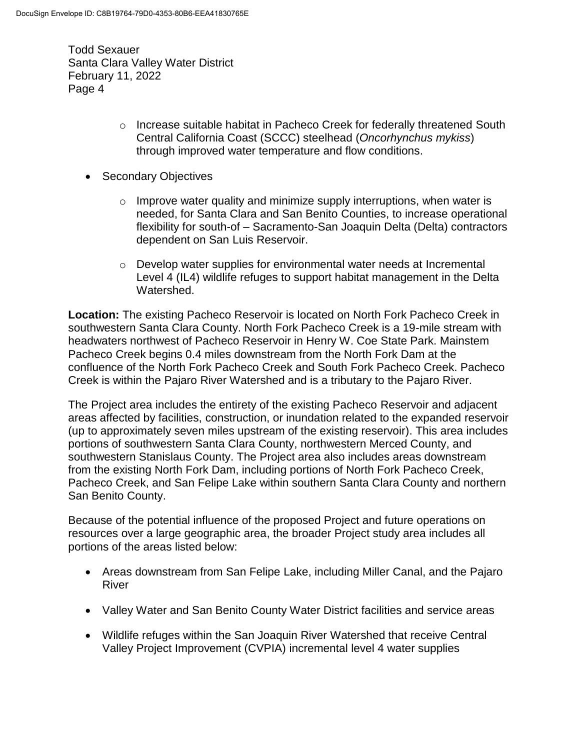- o Increase suitable habitat in Pacheco Creek for federally threatened South Central California Coast (SCCC) steelhead (*Oncorhynchus mykiss*) through improved water temperature and flow conditions.
- Secondary Objectives
	- $\circ$  Improve water quality and minimize supply interruptions, when water is needed, for Santa Clara and San Benito Counties, to increase operational flexibility for south-of – Sacramento-San Joaquin Delta (Delta) contractors dependent on San Luis Reservoir.
	- $\circ$  Develop water supplies for environmental water needs at Incremental Level 4 (IL4) wildlife refuges to support habitat management in the Delta Watershed.

**Location:** The existing Pacheco Reservoir is located on North Fork Pacheco Creek in southwestern Santa Clara County. North Fork Pacheco Creek is a 19-mile stream with headwaters northwest of Pacheco Reservoir in Henry W. Coe State Park. Mainstem Pacheco Creek begins 0.4 miles downstream from the North Fork Dam at the confluence of the North Fork Pacheco Creek and South Fork Pacheco Creek. Pacheco Creek is within the Pajaro River Watershed and is a tributary to the Pajaro River.

The Project area includes the entirety of the existing Pacheco Reservoir and adjacent areas affected by facilities, construction, or inundation related to the expanded reservoir (up to approximately seven miles upstream of the existing reservoir). This area includes portions of southwestern Santa Clara County, northwestern Merced County, and southwestern Stanislaus County. The Project area also includes areas downstream from the existing North Fork Dam, including portions of North Fork Pacheco Creek, Pacheco Creek, and San Felipe Lake within southern Santa Clara County and northern San Benito County.

Because of the potential influence of the proposed Project and future operations on resources over a large geographic area, the broader Project study area includes all portions of the areas listed below:

- Areas downstream from San Felipe Lake, including Miller Canal, and the Pajaro River
- Valley Water and San Benito County Water District facilities and service areas
- Wildlife refuges within the San Joaquin River Watershed that receive Central Valley Project Improvement (CVPIA) incremental level 4 water supplies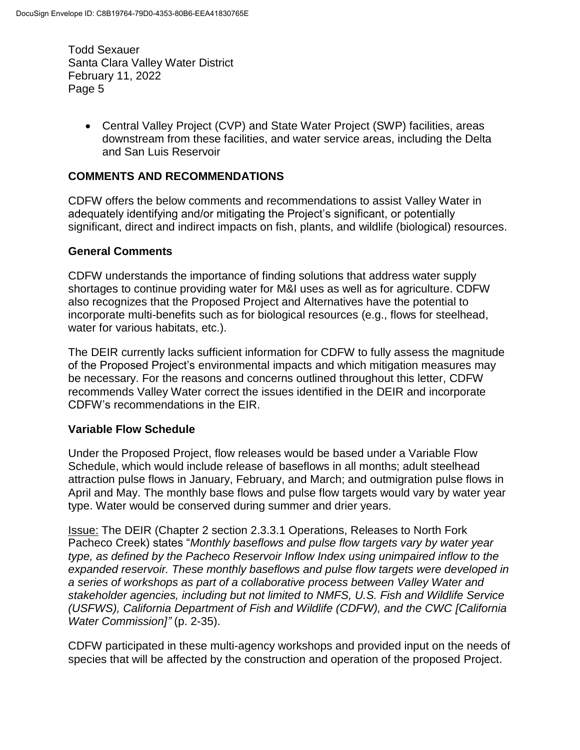> Central Valley Project (CVP) and State Water Project (SWP) facilities, areas downstream from these facilities, and water service areas, including the Delta and San Luis Reservoir

### **COMMENTS AND RECOMMENDATIONS**

CDFW offers the below comments and recommendations to assist Valley Water in adequately identifying and/or mitigating the Project's significant, or potentially significant, direct and indirect impacts on fish, plants, and wildlife (biological) resources.

#### **General Comments**

CDFW understands the importance of finding solutions that address water supply shortages to continue providing water for M&I uses as well as for agriculture. CDFW also recognizes that the Proposed Project and Alternatives have the potential to incorporate multi-benefits such as for biological resources (e.g., flows for steelhead, water for various habitats, etc.).

The DEIR currently lacks sufficient information for CDFW to fully assess the magnitude of the Proposed Project's environmental impacts and which mitigation measures may be necessary. For the reasons and concerns outlined throughout this letter, CDFW recommends Valley Water correct the issues identified in the DEIR and incorporate CDFW's recommendations in the EIR.

#### **Variable Flow Schedule**

Under the Proposed Project, flow releases would be based under a Variable Flow Schedule, which would include release of baseflows in all months; adult steelhead attraction pulse flows in January, February, and March; and outmigration pulse flows in April and May. The monthly base flows and pulse flow targets would vary by water year type. Water would be conserved during summer and drier years.

Issue: The DEIR (Chapter 2 section 2.3.3.1 Operations, Releases to North Fork Pacheco Creek) states "*Monthly baseflows and pulse flow targets vary by water year type, as defined by the Pacheco Reservoir Inflow Index using unimpaired inflow to the expanded reservoir. These monthly baseflows and pulse flow targets were developed in a series of workshops as part of a collaborative process between Valley Water and stakeholder agencies, including but not limited to NMFS, U.S. Fish and Wildlife Service (USFWS), California Department of Fish and Wildlife (CDFW), and the CWC [California Water Commission]"* (p. 2-35).

CDFW participated in these multi-agency workshops and provided input on the needs of species that will be affected by the construction and operation of the proposed Project.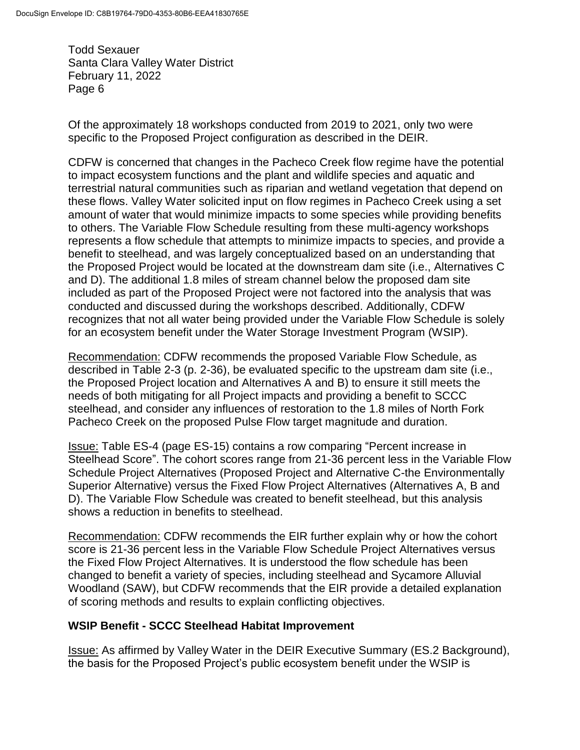Of the approximately 18 workshops conducted from 2019 to 2021, only two were specific to the Proposed Project configuration as described in the DEIR.

CDFW is concerned that changes in the Pacheco Creek flow regime have the potential to impact ecosystem functions and the plant and wildlife species and aquatic and terrestrial natural communities such as riparian and wetland vegetation that depend on these flows. Valley Water solicited input on flow regimes in Pacheco Creek using a set amount of water that would minimize impacts to some species while providing benefits to others. The Variable Flow Schedule resulting from these multi-agency workshops represents a flow schedule that attempts to minimize impacts to species, and provide a benefit to steelhead, and was largely conceptualized based on an understanding that the Proposed Project would be located at the downstream dam site (i.e., Alternatives C and D). The additional 1.8 miles of stream channel below the proposed dam site included as part of the Proposed Project were not factored into the analysis that was conducted and discussed during the workshops described. Additionally, CDFW recognizes that not all water being provided under the Variable Flow Schedule is solely for an ecosystem benefit under the Water Storage Investment Program (WSIP).

Recommendation: CDFW recommends the proposed Variable Flow Schedule, as described in Table 2-3 (p. 2-36), be evaluated specific to the upstream dam site (i.e., the Proposed Project location and Alternatives A and B) to ensure it still meets the needs of both mitigating for all Project impacts and providing a benefit to SCCC steelhead, and consider any influences of restoration to the 1.8 miles of North Fork Pacheco Creek on the proposed Pulse Flow target magnitude and duration.

Issue: Table ES-4 (page ES-15) contains a row comparing "Percent increase in Steelhead Score". The cohort scores range from 21-36 percent less in the Variable Flow Schedule Project Alternatives (Proposed Project and Alternative C-the Environmentally Superior Alternative) versus the Fixed Flow Project Alternatives (Alternatives A, B and D). The Variable Flow Schedule was created to benefit steelhead, but this analysis shows a reduction in benefits to steelhead.

Recommendation: CDFW recommends the EIR further explain why or how the cohort score is 21-36 percent less in the Variable Flow Schedule Project Alternatives versus the Fixed Flow Project Alternatives. It is understood the flow schedule has been changed to benefit a variety of species, including steelhead and Sycamore Alluvial Woodland (SAW), but CDFW recommends that the EIR provide a detailed explanation of scoring methods and results to explain conflicting objectives.

## **WSIP Benefit - SCCC Steelhead Habitat Improvement**

Issue: As affirmed by Valley Water in the DEIR Executive Summary (ES.2 Background), the basis for the Proposed Project's public ecosystem benefit under the WSIP is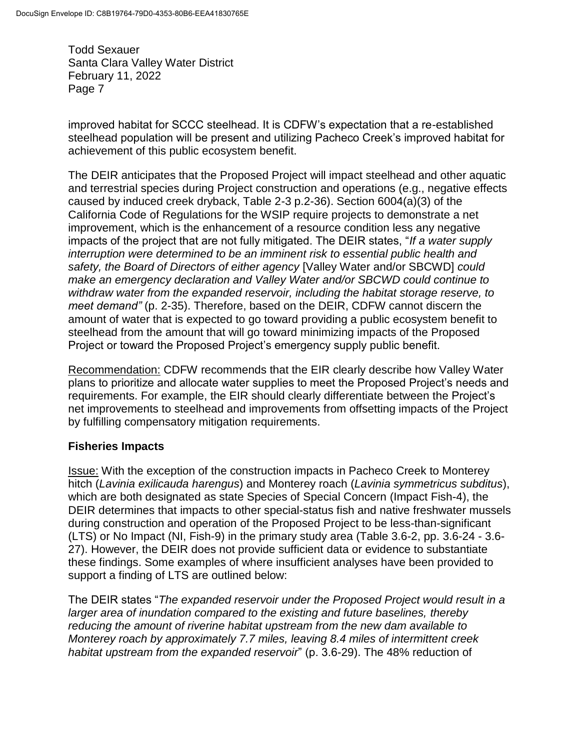improved habitat for SCCC steelhead. It is CDFW's expectation that a re-established steelhead population will be present and utilizing Pacheco Creek's improved habitat for achievement of this public ecosystem benefit.

The DEIR anticipates that the Proposed Project will impact steelhead and other aquatic and terrestrial species during Project construction and operations (e.g., negative effects caused by induced creek dryback, Table 2-3 p.2-36). Section 6004(a)(3) of the California Code of Regulations for the WSIP require projects to demonstrate a net improvement, which is the enhancement of a resource condition less any negative impacts of the project that are not fully mitigated. The DEIR states, "*If a water supply interruption were determined to be an imminent risk to essential public health and safety, the Board of Directors of either agency* [Valley Water and/or SBCWD] *could make an emergency declaration and Valley Water and/or SBCWD could continue to withdraw water from the expanded reservoir, including the habitat storage reserve, to meet demand"* (p. 2-35). Therefore, based on the DEIR, CDFW cannot discern the amount of water that is expected to go toward providing a public ecosystem benefit to steelhead from the amount that will go toward minimizing impacts of the Proposed Project or toward the Proposed Project's emergency supply public benefit.

Recommendation: CDFW recommends that the EIR clearly describe how Valley Water plans to prioritize and allocate water supplies to meet the Proposed Project's needs and requirements. For example, the EIR should clearly differentiate between the Project's net improvements to steelhead and improvements from offsetting impacts of the Project by fulfilling compensatory mitigation requirements.

## **Fisheries Impacts**

Issue: With the exception of the construction impacts in Pacheco Creek to Monterey hitch (*Lavinia exilicauda harengus*) and Monterey roach (*Lavinia symmetricus subditus*), which are both designated as state Species of Special Concern (Impact Fish-4), the DEIR determines that impacts to other special-status fish and native freshwater mussels during construction and operation of the Proposed Project to be less-than-significant (LTS) or No Impact (NI, Fish-9) in the primary study area (Table 3.6-2, pp. 3.6-24 - 3.6- 27). However, the DEIR does not provide sufficient data or evidence to substantiate these findings. Some examples of where insufficient analyses have been provided to support a finding of LTS are outlined below:

The DEIR states "*The expanded reservoir under the Proposed Project would result in a larger area of inundation compared to the existing and future baselines, thereby reducing the amount of riverine habitat upstream from the new dam available to Monterey roach by approximately 7.7 miles, leaving 8.4 miles of intermittent creek habitat upstream from the expanded reservoir*" (p. 3.6-29). The 48% reduction of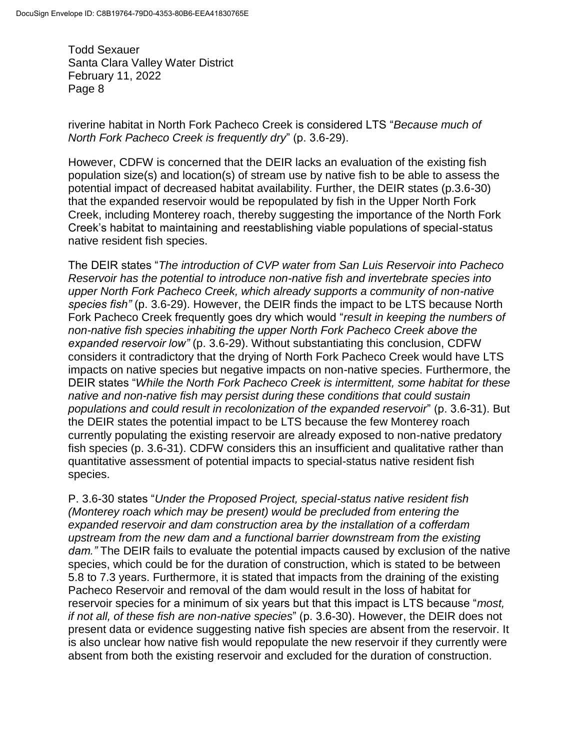riverine habitat in North Fork Pacheco Creek is considered LTS "*Because much of North Fork Pacheco Creek is frequently dry*" (p. 3.6-29).

However, CDFW is concerned that the DEIR lacks an evaluation of the existing fish population size(s) and location(s) of stream use by native fish to be able to assess the potential impact of decreased habitat availability. Further, the DEIR states (p.3.6-30) that the expanded reservoir would be repopulated by fish in the Upper North Fork Creek, including Monterey roach, thereby suggesting the importance of the North Fork Creek's habitat to maintaining and reestablishing viable populations of special-status native resident fish species.

The DEIR states "*The introduction of CVP water from San Luis Reservoir into Pacheco Reservoir has the potential to introduce non-native fish and invertebrate species into upper North Fork Pacheco Creek, which already supports a community of non-native species fish"* (p. 3.6-29). However, the DEIR finds the impact to be LTS because North Fork Pacheco Creek frequently goes dry which would "*result in keeping the numbers of non-native fish species inhabiting the upper North Fork Pacheco Creek above the expanded reservoir low"* (p. 3.6-29). Without substantiating this conclusion, CDFW considers it contradictory that the drying of North Fork Pacheco Creek would have LTS impacts on native species but negative impacts on non-native species. Furthermore, the DEIR states "*While the North Fork Pacheco Creek is intermittent, some habitat for these native and non-native fish may persist during these conditions that could sustain populations and could result in recolonization of the expanded reservoir*" (p. 3.6-31). But the DEIR states the potential impact to be LTS because the few Monterey roach currently populating the existing reservoir are already exposed to non-native predatory fish species (p. 3.6-31). CDFW considers this an insufficient and qualitative rather than quantitative assessment of potential impacts to special-status native resident fish species.

P. 3.6-30 states "*Under the Proposed Project, special-status native resident fish (Monterey roach which may be present) would be precluded from entering the expanded reservoir and dam construction area by the installation of a cofferdam upstream from the new dam and a functional barrier downstream from the existing dam."* The DEIR fails to evaluate the potential impacts caused by exclusion of the native species, which could be for the duration of construction, which is stated to be between 5.8 to 7.3 years. Furthermore, it is stated that impacts from the draining of the existing Pacheco Reservoir and removal of the dam would result in the loss of habitat for reservoir species for a minimum of six years but that this impact is LTS because "*most, if not all, of these fish are non-native species*" (p. 3.6-30). However, the DEIR does not present data or evidence suggesting native fish species are absent from the reservoir. It is also unclear how native fish would repopulate the new reservoir if they currently were absent from both the existing reservoir and excluded for the duration of construction.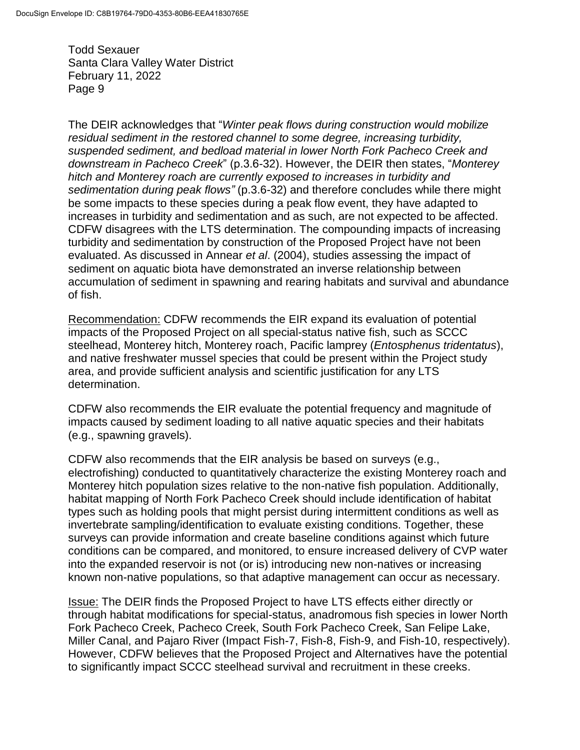The DEIR acknowledges that "*Winter peak flows during construction would mobilize residual sediment in the restored channel to some degree, increasing turbidity, suspended sediment, and bedload material in lower North Fork Pacheco Creek and downstream in Pacheco Creek*" (p.3.6-32). However, the DEIR then states, "*Monterey hitch and Monterey roach are currently exposed to increases in turbidity and sedimentation during peak flows"* (p.3.6-32) and therefore concludes while there might be some impacts to these species during a peak flow event, they have adapted to increases in turbidity and sedimentation and as such, are not expected to be affected. CDFW disagrees with the LTS determination. The compounding impacts of increasing turbidity and sedimentation by construction of the Proposed Project have not been evaluated. As discussed in Annear *et al*. (2004), studies assessing the impact of sediment on aquatic biota have demonstrated an inverse relationship between accumulation of sediment in spawning and rearing habitats and survival and abundance of fish.

Recommendation: CDFW recommends the EIR expand its evaluation of potential impacts of the Proposed Project on all special-status native fish, such as SCCC steelhead, Monterey hitch, Monterey roach, Pacific lamprey (*Entosphenus tridentatus*), and native freshwater mussel species that could be present within the Project study area, and provide sufficient analysis and scientific justification for any LTS determination.

CDFW also recommends the EIR evaluate the potential frequency and magnitude of impacts caused by sediment loading to all native aquatic species and their habitats (e.g., spawning gravels).

CDFW also recommends that the EIR analysis be based on surveys (e.g., electrofishing) conducted to quantitatively characterize the existing Monterey roach and Monterey hitch population sizes relative to the non-native fish population. Additionally, habitat mapping of North Fork Pacheco Creek should include identification of habitat types such as holding pools that might persist during intermittent conditions as well as invertebrate sampling/identification to evaluate existing conditions. Together, these surveys can provide information and create baseline conditions against which future conditions can be compared, and monitored, to ensure increased delivery of CVP water into the expanded reservoir is not (or is) introducing new non-natives or increasing known non-native populations, so that adaptive management can occur as necessary.

Issue: The DEIR finds the Proposed Project to have LTS effects either directly or through habitat modifications for special-status, anadromous fish species in lower North Fork Pacheco Creek, Pacheco Creek, South Fork Pacheco Creek, San Felipe Lake, Miller Canal, and Pajaro River (Impact Fish-7, Fish-8, Fish-9, and Fish-10, respectively). However, CDFW believes that the Proposed Project and Alternatives have the potential to significantly impact SCCC steelhead survival and recruitment in these creeks.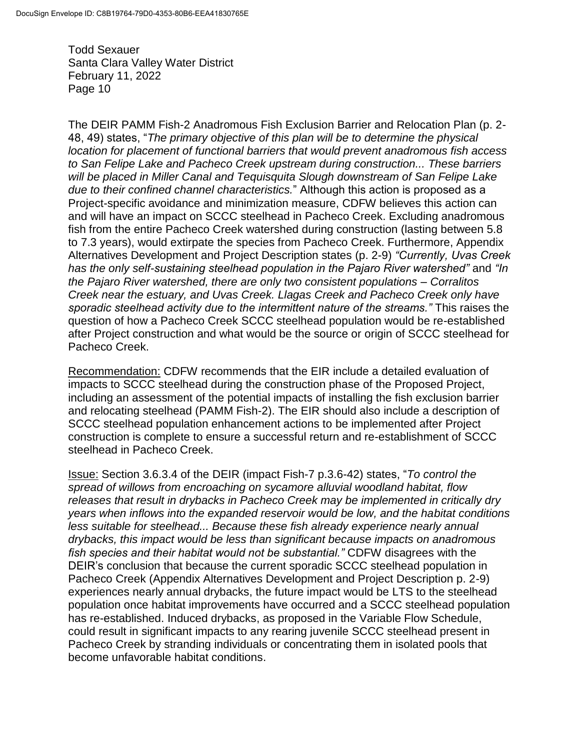The DEIR PAMM Fish-2 Anadromous Fish Exclusion Barrier and Relocation Plan (p. 2- 48, 49) states, "*The primary objective of this plan will be to determine the physical location for placement of functional barriers that would prevent anadromous fish access to San Felipe Lake and Pacheco Creek upstream during construction... These barriers will be placed in Miller Canal and Tequisquita Slough downstream of San Felipe Lake due to their confined channel characteristics.*" Although this action is proposed as a Project-specific avoidance and minimization measure, CDFW believes this action can and will have an impact on SCCC steelhead in Pacheco Creek. Excluding anadromous fish from the entire Pacheco Creek watershed during construction (lasting between 5.8 to 7.3 years), would extirpate the species from Pacheco Creek. Furthermore, Appendix Alternatives Development and Project Description states (p. 2-9) *"Currently, Uvas Creek has the only self-sustaining steelhead population in the Pajaro River watershed"* and *"In the Pajaro River watershed, there are only two consistent populations – Corralitos Creek near the estuary, and Uvas Creek. Llagas Creek and Pacheco Creek only have sporadic steelhead activity due to the intermittent nature of the streams."* This raises the question of how a Pacheco Creek SCCC steelhead population would be re-established after Project construction and what would be the source or origin of SCCC steelhead for Pacheco Creek.

Recommendation: CDFW recommends that the EIR include a detailed evaluation of impacts to SCCC steelhead during the construction phase of the Proposed Project, including an assessment of the potential impacts of installing the fish exclusion barrier and relocating steelhead (PAMM Fish-2). The EIR should also include a description of SCCC steelhead population enhancement actions to be implemented after Project construction is complete to ensure a successful return and re-establishment of SCCC steelhead in Pacheco Creek.

Issue: Section 3.6.3.4 of the DEIR (impact Fish-7 p.3.6-42) states, "*To control the spread of willows from encroaching on sycamore alluvial woodland habitat, flow releases that result in drybacks in Pacheco Creek may be implemented in critically dry years when inflows into the expanded reservoir would be low, and the habitat conditions less suitable for steelhead... Because these fish already experience nearly annual drybacks, this impact would be less than significant because impacts on anadromous fish species and their habitat would not be substantial."* CDFW disagrees with the DEIR's conclusion that because the current sporadic SCCC steelhead population in Pacheco Creek (Appendix Alternatives Development and Project Description p. 2-9) experiences nearly annual drybacks, the future impact would be LTS to the steelhead population once habitat improvements have occurred and a SCCC steelhead population has re-established. Induced drybacks, as proposed in the Variable Flow Schedule, could result in significant impacts to any rearing juvenile SCCC steelhead present in Pacheco Creek by stranding individuals or concentrating them in isolated pools that become unfavorable habitat conditions.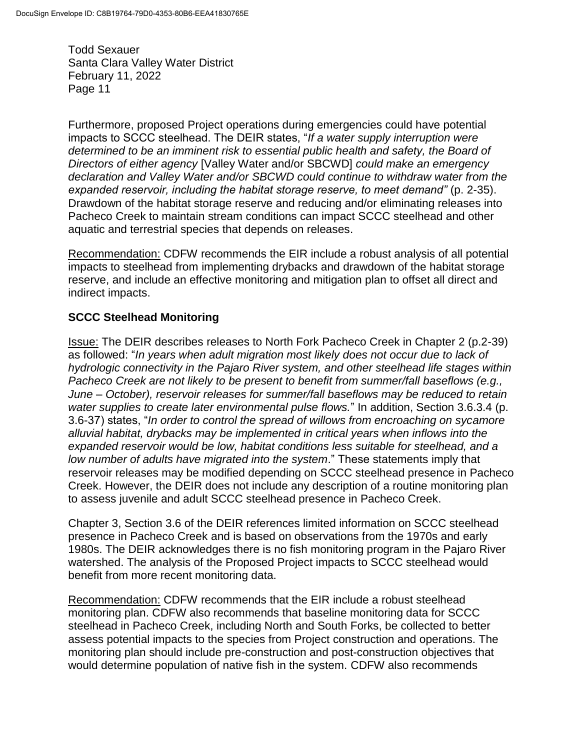Furthermore, proposed Project operations during emergencies could have potential impacts to SCCC steelhead. The DEIR states, "*If a water supply interruption were determined to be an imminent risk to essential public health and safety, the Board of Directors of either agency* [Valley Water and/or SBCWD] *could make an emergency declaration and Valley Water and/or SBCWD could continue to withdraw water from the expanded reservoir, including the habitat storage reserve, to meet demand"* (p. 2-35). Drawdown of the habitat storage reserve and reducing and/or eliminating releases into Pacheco Creek to maintain stream conditions can impact SCCC steelhead and other aquatic and terrestrial species that depends on releases.

Recommendation: CDFW recommends the EIR include a robust analysis of all potential impacts to steelhead from implementing drybacks and drawdown of the habitat storage reserve, and include an effective monitoring and mitigation plan to offset all direct and indirect impacts.

# **SCCC Steelhead Monitoring**

Issue: The DEIR describes releases to North Fork Pacheco Creek in Chapter 2 (p.2-39) as followed: "*In years when adult migration most likely does not occur due to lack of hydrologic connectivity in the Pajaro River system, and other steelhead life stages within Pacheco Creek are not likely to be present to benefit from summer/fall baseflows (e.g., June – October), reservoir releases for summer/fall baseflows may be reduced to retain water supplies to create later environmental pulse flows.*" In addition, Section 3.6.3.4 (p. 3.6-37) states, "*In order to control the spread of willows from encroaching on sycamore alluvial habitat, drybacks may be implemented in critical years when inflows into the expanded reservoir would be low, habitat conditions less suitable for steelhead, and a low number of adults have migrated into the system*." These statements imply that reservoir releases may be modified depending on SCCC steelhead presence in Pacheco Creek. However, the DEIR does not include any description of a routine monitoring plan to assess juvenile and adult SCCC steelhead presence in Pacheco Creek.

Chapter 3, Section 3.6 of the DEIR references limited information on SCCC steelhead presence in Pacheco Creek and is based on observations from the 1970s and early 1980s. The DEIR acknowledges there is no fish monitoring program in the Pajaro River watershed. The analysis of the Proposed Project impacts to SCCC steelhead would benefit from more recent monitoring data.

Recommendation: CDFW recommends that the EIR include a robust steelhead monitoring plan. CDFW also recommends that baseline monitoring data for SCCC steelhead in Pacheco Creek, including North and South Forks, be collected to better assess potential impacts to the species from Project construction and operations. The monitoring plan should include pre-construction and post-construction objectives that would determine population of native fish in the system. CDFW also recommends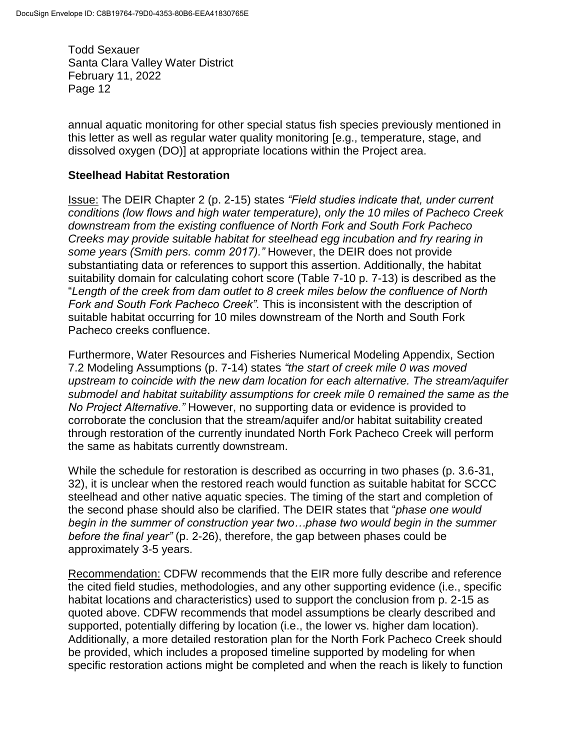annual aquatic monitoring for other special status fish species previously mentioned in this letter as well as regular water quality monitoring [e.g., temperature, stage, and dissolved oxygen (DO)] at appropriate locations within the Project area.

#### **Steelhead Habitat Restoration**

Issue: The DEIR Chapter 2 (p. 2-15) states *"Field studies indicate that, under current conditions (low flows and high water temperature), only the 10 miles of Pacheco Creek downstream from the existing confluence of North Fork and South Fork Pacheco Creeks may provide suitable habitat for steelhead egg incubation and fry rearing in some years (Smith pers. comm 2017)."* However, the DEIR does not provide substantiating data or references to support this assertion. Additionally, the habitat suitability domain for calculating cohort score (Table 7-10 p. 7-13) is described as the "*Length of the creek from dam outlet to 8 creek miles below the confluence of North Fork and South Fork Pacheco Creek".* This is inconsistent with the description of suitable habitat occurring for 10 miles downstream of the North and South Fork Pacheco creeks confluence.

Furthermore, Water Resources and Fisheries Numerical Modeling Appendix, Section 7.2 Modeling Assumptions (p. 7-14) states *"the start of creek mile 0 was moved upstream to coincide with the new dam location for each alternative. The stream/aquifer submodel and habitat suitability assumptions for creek mile 0 remained the same as the No Project Alternative."* However, no supporting data or evidence is provided to corroborate the conclusion that the stream/aquifer and/or habitat suitability created through restoration of the currently inundated North Fork Pacheco Creek will perform the same as habitats currently downstream.

While the schedule for restoration is described as occurring in two phases (p. 3.6-31, 32), it is unclear when the restored reach would function as suitable habitat for SCCC steelhead and other native aquatic species. The timing of the start and completion of the second phase should also be clarified. The DEIR states that "*phase one would begin in the summer of construction year two…phase two would begin in the summer before the final year"* (p. 2-26), therefore, the gap between phases could be approximately 3-5 years.

Recommendation: CDFW recommends that the EIR more fully describe and reference the cited field studies, methodologies, and any other supporting evidence (i.e., specific habitat locations and characteristics) used to support the conclusion from p. 2-15 as quoted above. CDFW recommends that model assumptions be clearly described and supported, potentially differing by location (i.e., the lower vs. higher dam location). Additionally, a more detailed restoration plan for the North Fork Pacheco Creek should be provided, which includes a proposed timeline supported by modeling for when specific restoration actions might be completed and when the reach is likely to function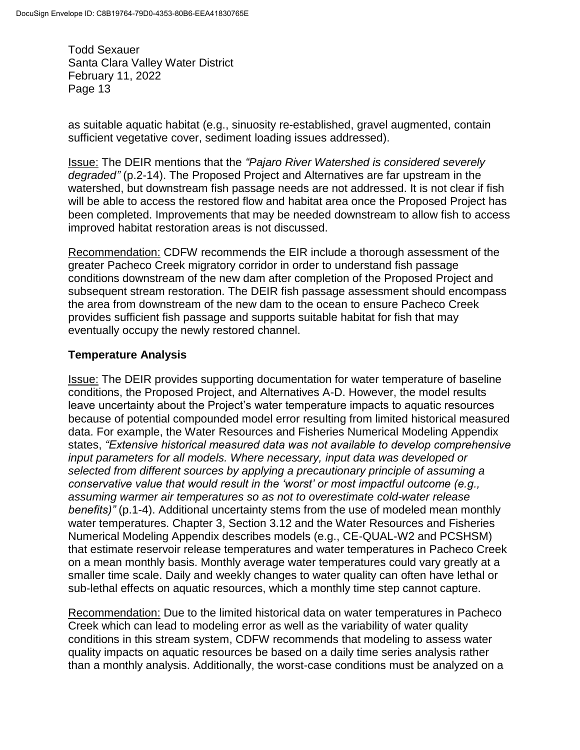as suitable aquatic habitat (e.g., sinuosity re-established, gravel augmented, contain sufficient vegetative cover, sediment loading issues addressed).

Issue: The DEIR mentions that the *"Pajaro River Watershed is considered severely degraded"* (p.2-14). The Proposed Project and Alternatives are far upstream in the watershed, but downstream fish passage needs are not addressed. It is not clear if fish will be able to access the restored flow and habitat area once the Proposed Project has been completed. Improvements that may be needed downstream to allow fish to access improved habitat restoration areas is not discussed.

Recommendation: CDFW recommends the EIR include a thorough assessment of the greater Pacheco Creek migratory corridor in order to understand fish passage conditions downstream of the new dam after completion of the Proposed Project and subsequent stream restoration. The DEIR fish passage assessment should encompass the area from downstream of the new dam to the ocean to ensure Pacheco Creek provides sufficient fish passage and supports suitable habitat for fish that may eventually occupy the newly restored channel.

## **Temperature Analysis**

Issue: The DEIR provides supporting documentation for water temperature of baseline conditions, the Proposed Project, and Alternatives A-D. However, the model results leave uncertainty about the Project's water temperature impacts to aquatic resources because of potential compounded model error resulting from limited historical measured data. For example, the Water Resources and Fisheries Numerical Modeling Appendix states, *"Extensive historical measured data was not available to develop comprehensive input parameters for all models. Where necessary, input data was developed or selected from different sources by applying a precautionary principle of assuming a conservative value that would result in the 'worst' or most impactful outcome (e.g., assuming warmer air temperatures so as not to overestimate cold-water release benefits)"* (p.1-4). Additional uncertainty stems from the use of modeled mean monthly water temperatures. Chapter 3, Section 3.12 and the Water Resources and Fisheries Numerical Modeling Appendix describes models (e.g., CE-QUAL-W2 and PCSHSM) that estimate reservoir release temperatures and water temperatures in Pacheco Creek on a mean monthly basis. Monthly average water temperatures could vary greatly at a smaller time scale. Daily and weekly changes to water quality can often have lethal or sub-lethal effects on aquatic resources, which a monthly time step cannot capture.

Recommendation: Due to the limited historical data on water temperatures in Pacheco Creek which can lead to modeling error as well as the variability of water quality conditions in this stream system, CDFW recommends that modeling to assess water quality impacts on aquatic resources be based on a daily time series analysis rather than a monthly analysis. Additionally, the worst-case conditions must be analyzed on a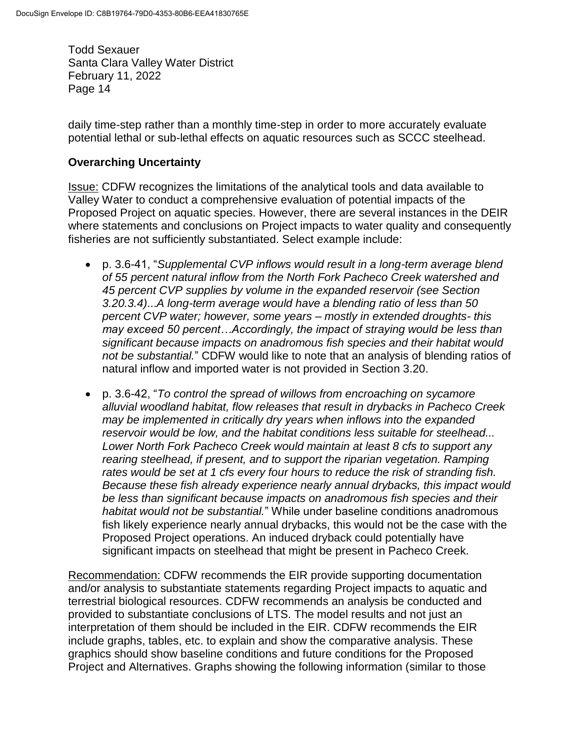daily time-step rather than a monthly time-step in order to more accurately evaluate potential lethal or sub-lethal effects on aquatic resources such as SCCC steelhead.

### **Overarching Uncertainty**

Issue: CDFW recognizes the limitations of the analytical tools and data available to Valley Water to conduct a comprehensive evaluation of potential impacts of the Proposed Project on aquatic species. However, there are several instances in the DEIR where statements and conclusions on Project impacts to water quality and consequently fisheries are not sufficiently substantiated. Select example include:

- p. 3.6-41, "*Supplemental CVP inflows would result in a long-term average blend of 55 percent natural inflow from the North Fork Pacheco Creek watershed and 45 percent CVP supplies by volume in the expanded reservoir (see Section 3.20.3.4)*...*A long-term average would have a blending ratio of less than 50 percent CVP water; however, some years – mostly in extended droughts- this may exceed 50 percent…Accordingly, the impact of straying would be less than significant because impacts on anadromous fish species and their habitat would not be substantial.*" CDFW would like to note that an analysis of blending ratios of natural inflow and imported water is not provided in Section 3.20.
- p. 3.6-42, "*To control the spread of willows from encroaching on sycamore alluvial woodland habitat, flow releases that result in drybacks in Pacheco Creek may be implemented in critically dry years when inflows into the expanded reservoir would be low, and the habitat conditions less suitable for steelhead... Lower North Fork Pacheco Creek would maintain at least 8 cfs to support any rearing steelhead, if present, and to support the riparian vegetation. Ramping rates would be set at 1 cfs every four hours to reduce the risk of stranding fish. Because these fish already experience nearly annual drybacks, this impact would be less than significant because impacts on anadromous fish species and their habitat would not be substantial.*" While under baseline conditions anadromous fish likely experience nearly annual drybacks, this would not be the case with the Proposed Project operations. An induced dryback could potentially have significant impacts on steelhead that might be present in Pacheco Creek.

Recommendation: CDFW recommends the EIR provide supporting documentation and/or analysis to substantiate statements regarding Project impacts to aquatic and terrestrial biological resources. CDFW recommends an analysis be conducted and provided to substantiate conclusions of LTS. The model results and not just an interpretation of them should be included in the EIR. CDFW recommends the EIR include graphs, tables, etc. to explain and show the comparative analysis. These graphics should show baseline conditions and future conditions for the Proposed Project and Alternatives. Graphs showing the following information (similar to those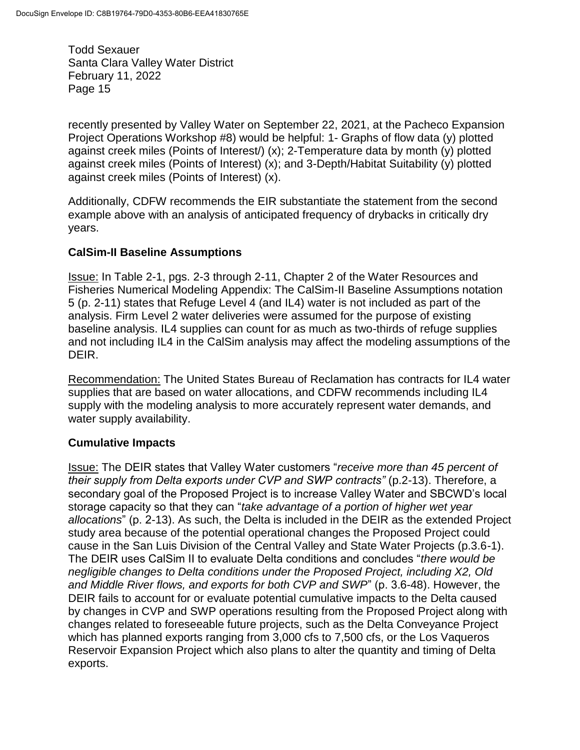recently presented by Valley Water on September 22, 2021, at the Pacheco Expansion Project Operations Workshop #8) would be helpful: 1- Graphs of flow data (y) plotted against creek miles (Points of Interest/) (x); 2-Temperature data by month (y) plotted against creek miles (Points of Interest) (x); and 3-Depth/Habitat Suitability (y) plotted against creek miles (Points of Interest) (x).

Additionally, CDFW recommends the EIR substantiate the statement from the second example above with an analysis of anticipated frequency of drybacks in critically dry years.

# **CalSim-II Baseline Assumptions**

Issue: In Table 2-1, pgs. 2-3 through 2-11, Chapter 2 of the Water Resources and Fisheries Numerical Modeling Appendix: The CalSim-II Baseline Assumptions notation 5 (p. 2-11) states that Refuge Level 4 (and IL4) water is not included as part of the analysis. Firm Level 2 water deliveries were assumed for the purpose of existing baseline analysis. IL4 supplies can count for as much as two-thirds of refuge supplies and not including IL4 in the CalSim analysis may affect the modeling assumptions of the DEIR.

Recommendation: The United States Bureau of Reclamation has contracts for IL4 water supplies that are based on water allocations, and CDFW recommends including IL4 supply with the modeling analysis to more accurately represent water demands, and water supply availability.

## **Cumulative Impacts**

Issue: The DEIR states that Valley Water customers "*receive more than 45 percent of their supply from Delta exports under CVP and SWP contracts" (p.2-13). Therefore, a* secondary goal of the Proposed Project is to increase Valley Water and SBCWD's local storage capacity so that they can "*take advantage of a portion of higher wet year allocations*" (p. 2-13). As such, the Delta is included in the DEIR as the extended Project study area because of the potential operational changes the Proposed Project could cause in the San Luis Division of the Central Valley and State Water Projects (p.3.6-1). The DEIR uses CalSim II to evaluate Delta conditions and concludes "*there would be negligible changes to Delta conditions under the Proposed Project, including X2, Old and Middle River flows, and exports for both CVP and SWP*" (p. 3.6-48). However, the DEIR fails to account for or evaluate potential cumulative impacts to the Delta caused by changes in CVP and SWP operations resulting from the Proposed Project along with changes related to foreseeable future projects, such as the Delta Conveyance Project which has planned exports ranging from 3,000 cfs to 7,500 cfs, or the Los Vaqueros Reservoir Expansion Project which also plans to alter the quantity and timing of Delta exports.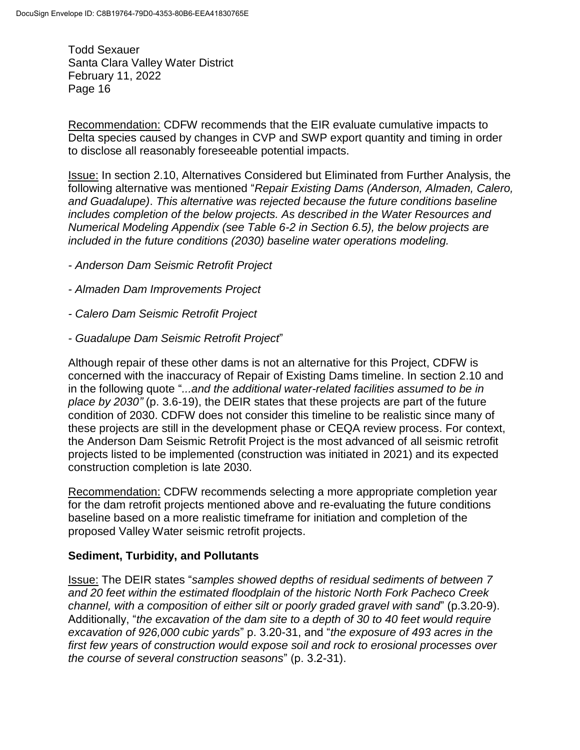Recommendation: CDFW recommends that the EIR evaluate cumulative impacts to Delta species caused by changes in CVP and SWP export quantity and timing in order to disclose all reasonably foreseeable potential impacts.

Issue: In section 2.10, Alternatives Considered but Eliminated from Further Analysis, the following alternative was mentioned "*Repair Existing Dams (Anderson, Almaden, Calero, and Guadalupe)*. *This alternative was rejected because the future conditions baseline includes completion of the below projects. As described in the Water Resources and Numerical Modeling Appendix (see Table 6-2 in Section 6.5), the below projects are included in the future conditions (2030) baseline water operations modeling.*

- *- Anderson Dam Seismic Retrofit Project*
- *- Almaden Dam Improvements Project*
- *- Calero Dam Seismic Retrofit Project*
- *- Guadalupe Dam Seismic Retrofit Project*"

Although repair of these other dams is not an alternative for this Project, CDFW is concerned with the inaccuracy of Repair of Existing Dams timeline. In section 2.10 and in the following quote "*...and the additional water-related facilities assumed to be in place by 2030"* (p. 3.6-19), the DEIR states that these projects are part of the future condition of 2030. CDFW does not consider this timeline to be realistic since many of these projects are still in the development phase or CEQA review process. For context, the Anderson Dam Seismic Retrofit Project is the most advanced of all seismic retrofit projects listed to be implemented (construction was initiated in 2021) and its expected construction completion is late 2030.

Recommendation: CDFW recommends selecting a more appropriate completion year for the dam retrofit projects mentioned above and re-evaluating the future conditions baseline based on a more realistic timeframe for initiation and completion of the proposed Valley Water seismic retrofit projects.

#### **Sediment, Turbidity, and Pollutants**

Issue: The DEIR states "*samples showed depths of residual sediments of between 7 and 20 feet within the estimated floodplain of the historic North Fork Pacheco Creek channel, with a composition of either silt or poorly graded gravel with sand*" (p.3.20-9). Additionally, "*the excavation of the dam site to a depth of 30 to 40 feet would require excavation of 926,000 cubic yards*" p. 3.20-31, and "*the exposure of 493 acres in the first few years of construction would expose soil and rock to erosional processes over the course of several construction seasons*" (p. 3.2-31).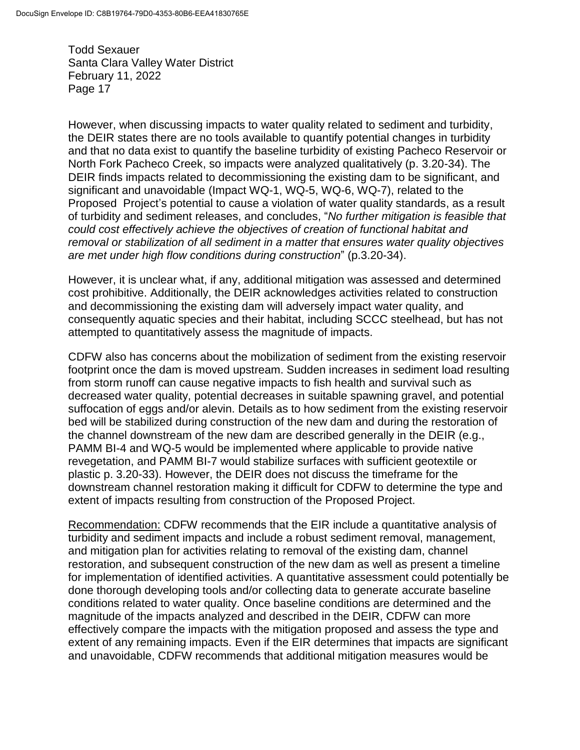However, when discussing impacts to water quality related to sediment and turbidity, the DEIR states there are no tools available to quantify potential changes in turbidity and that no data exist to quantify the baseline turbidity of existing Pacheco Reservoir or North Fork Pacheco Creek, so impacts were analyzed qualitatively (p. 3.20-34). The DEIR finds impacts related to decommissioning the existing dam to be significant, and significant and unavoidable (Impact WQ-1, WQ-5, WQ-6, WQ-7), related to the Proposed Project's potential to cause a violation of water quality standards, as a result of turbidity and sediment releases, and concludes, "*No further mitigation is feasible that could cost effectively achieve the objectives of creation of functional habitat and removal or stabilization of all sediment in a matter that ensures water quality objectives are met under high flow conditions during construction*" (p.3.20-34).

However, it is unclear what, if any, additional mitigation was assessed and determined cost prohibitive. Additionally, the DEIR acknowledges activities related to construction and decommissioning the existing dam will adversely impact water quality, and consequently aquatic species and their habitat, including SCCC steelhead, but has not attempted to quantitatively assess the magnitude of impacts.

CDFW also has concerns about the mobilization of sediment from the existing reservoir footprint once the dam is moved upstream. Sudden increases in sediment load resulting from storm runoff can cause negative impacts to fish health and survival such as decreased water quality, potential decreases in suitable spawning gravel, and potential suffocation of eggs and/or alevin. Details as to how sediment from the existing reservoir bed will be stabilized during construction of the new dam and during the restoration of the channel downstream of the new dam are described generally in the DEIR (e.g., PAMM BI-4 and WQ-5 would be implemented where applicable to provide native revegetation, and PAMM BI-7 would stabilize surfaces with sufficient geotextile or plastic p. 3.20-33). However, the DEIR does not discuss the timeframe for the downstream channel restoration making it difficult for CDFW to determine the type and extent of impacts resulting from construction of the Proposed Project.

Recommendation: CDFW recommends that the EIR include a quantitative analysis of turbidity and sediment impacts and include a robust sediment removal, management, and mitigation plan for activities relating to removal of the existing dam, channel restoration, and subsequent construction of the new dam as well as present a timeline for implementation of identified activities. A quantitative assessment could potentially be done thorough developing tools and/or collecting data to generate accurate baseline conditions related to water quality. Once baseline conditions are determined and the magnitude of the impacts analyzed and described in the DEIR, CDFW can more effectively compare the impacts with the mitigation proposed and assess the type and extent of any remaining impacts. Even if the EIR determines that impacts are significant and unavoidable, CDFW recommends that additional mitigation measures would be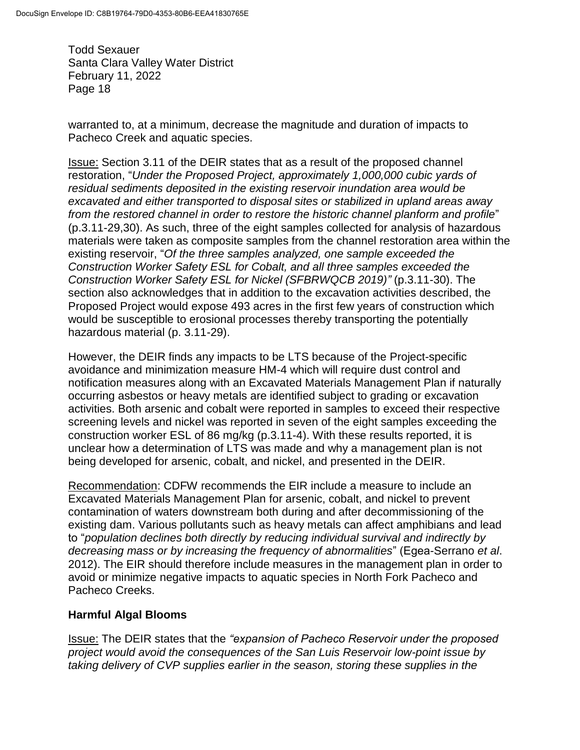warranted to, at a minimum, decrease the magnitude and duration of impacts to Pacheco Creek and aquatic species.

Issue: Section 3.11 of the DEIR states that as a result of the proposed channel restoration, "*Under the Proposed Project, approximately 1,000,000 cubic yards of residual sediments deposited in the existing reservoir inundation area would be excavated and either transported to disposal sites or stabilized in upland areas away from the restored channel in order to restore the historic channel planform and profile*" (p.3.11-29,30). As such, three of the eight samples collected for analysis of hazardous materials were taken as composite samples from the channel restoration area within the existing reservoir, "*Of the three samples analyzed, one sample exceeded the Construction Worker Safety ESL for Cobalt, and all three samples exceeded the Construction Worker Safety ESL for Nickel (SFBRWQCB 2019)"* (p.3.11-30). The section also acknowledges that in addition to the excavation activities described, the Proposed Project would expose 493 acres in the first few years of construction which would be susceptible to erosional processes thereby transporting the potentially hazardous material (p. 3.11-29).

However, the DEIR finds any impacts to be LTS because of the Project-specific avoidance and minimization measure HM-4 which will require dust control and notification measures along with an Excavated Materials Management Plan if naturally occurring asbestos or heavy metals are identified subject to grading or excavation activities. Both arsenic and cobalt were reported in samples to exceed their respective screening levels and nickel was reported in seven of the eight samples exceeding the construction worker ESL of 86 mg/kg (p.3.11-4). With these results reported, it is unclear how a determination of LTS was made and why a management plan is not being developed for arsenic, cobalt, and nickel, and presented in the DEIR.

Recommendation: CDFW recommends the EIR include a measure to include an Excavated Materials Management Plan for arsenic, cobalt, and nickel to prevent contamination of waters downstream both during and after decommissioning of the existing dam. Various pollutants such as heavy metals can affect amphibians and lead to "*population declines both directly by reducing individual survival and indirectly by decreasing mass or by increasing the frequency of abnormalities*" (Egea-Serrano *et al*. 2012). The EIR should therefore include measures in the management plan in order to avoid or minimize negative impacts to aquatic species in North Fork Pacheco and Pacheco Creeks.

## **Harmful Algal Blooms**

Issue: The DEIR states that the *"expansion of Pacheco Reservoir under the proposed project would avoid the consequences of the San Luis Reservoir low-point issue by taking delivery of CVP supplies earlier in the season, storing these supplies in the*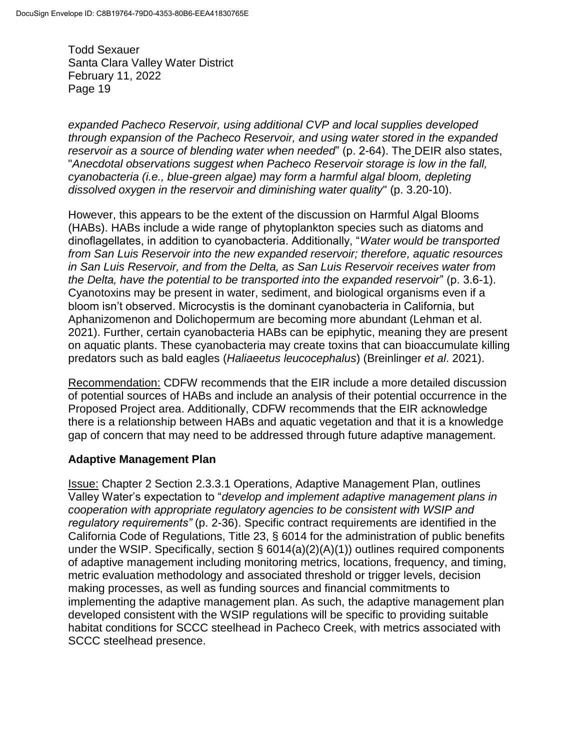*expanded Pacheco Reservoir, using additional CVP and local supplies developed through expansion of the Pacheco Reservoir, and using water stored in the expanded reservoir as a source of blending water when needed*" (p. 2-64). The DEIR also states, "*Anecdotal observations suggest when Pacheco Reservoir storage is low in the fall, cyanobacteria (i.e., blue-green algae) may form a harmful algal bloom, depleting dissolved oxygen in the reservoir and diminishing water quality*" (p. 3.20-10).

However, this appears to be the extent of the discussion on Harmful Algal Blooms (HABs). HABs include a wide range of phytoplankton species such as diatoms and dinoflagellates, in addition to cyanobacteria. Additionally, "*Water would be transported from San Luis Reservoir into the new expanded reservoir; therefore, aquatic resources in San Luis Reservoir, and from the Delta, as San Luis Reservoir receives water from the Delta, have the potential to be transported into the expanded reservoir*" (p. 3.6-1). Cyanotoxins may be present in water, sediment, and biological organisms even if a bloom isn't observed. Microcystis is the dominant cyanobacteria in California, but Aphanizomenon and Dolichopermum are becoming more abundant (Lehman et al. 2021). Further, certain cyanobacteria HABs can be epiphytic, meaning they are present on aquatic plants. These cyanobacteria may create toxins that can bioaccumulate killing predators such as bald eagles (*Haliaeetus leucocephalus*) (Breinlinger *et al*. 2021).

Recommendation: CDFW recommends that the EIR include a more detailed discussion of potential sources of HABs and include an analysis of their potential occurrence in the Proposed Project area. Additionally, CDFW recommends that the EIR acknowledge there is a relationship between HABs and aquatic vegetation and that it is a knowledge gap of concern that may need to be addressed through future adaptive management.

## **Adaptive Management Plan**

Issue: Chapter 2 Section 2.3.3.1 Operations, Adaptive Management Plan, outlines Valley Water's expectation to "*develop and implement adaptive management plans in cooperation with appropriate regulatory agencies to be consistent with WSIP and regulatory requirements"* (p. 2-36). Specific contract requirements are identified in the California Code of Regulations, Title 23, § 6014 for the administration of public benefits under the WSIP. Specifically, section § 6014(a)(2)(A)(1)) outlines required components of adaptive management including monitoring metrics, locations, frequency, and timing, metric evaluation methodology and associated threshold or trigger levels, decision making processes, as well as funding sources and financial commitments to implementing the adaptive management plan. As such, the adaptive management plan developed consistent with the WSIP regulations will be specific to providing suitable habitat conditions for SCCC steelhead in Pacheco Creek, with metrics associated with SCCC steelhead presence.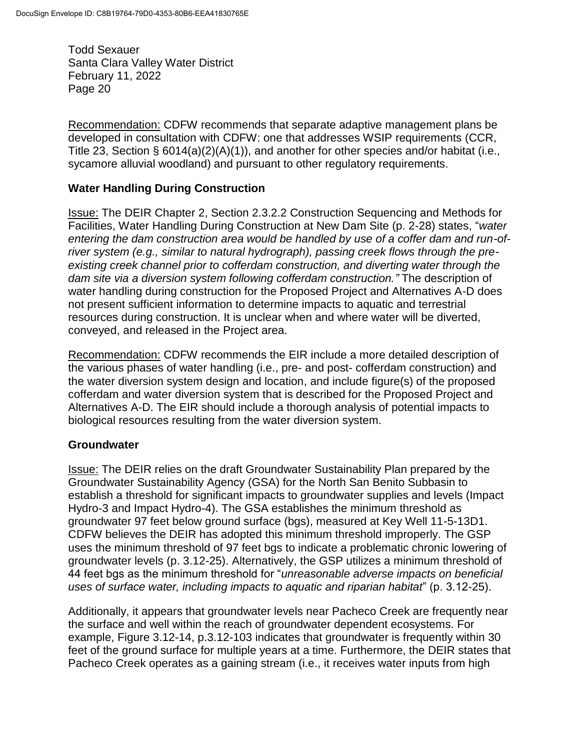Recommendation: CDFW recommends that separate adaptive management plans be developed in consultation with CDFW: one that addresses WSIP requirements (CCR, Title 23, Section § 6014(a)(2)(A)(1)), and another for other species and/or habitat (i.e., sycamore alluvial woodland) and pursuant to other regulatory requirements.

### **Water Handling During Construction**

Issue: The DEIR Chapter 2, Section 2.3.2.2 Construction Sequencing and Methods for Facilities, Water Handling During Construction at New Dam Site (p. 2-28) states, "*water entering the dam construction area would be handled by use of a coffer dam and run-ofriver system (e.g., similar to natural hydrograph), passing creek flows through the preexisting creek channel prior to cofferdam construction, and diverting water through the dam site via a diversion system following cofferdam construction."* The description of water handling during construction for the Proposed Project and Alternatives A-D does not present sufficient information to determine impacts to aquatic and terrestrial resources during construction. It is unclear when and where water will be diverted, conveyed, and released in the Project area.

Recommendation: CDFW recommends the EIR include a more detailed description of the various phases of water handling (i.e., pre- and post- cofferdam construction) and the water diversion system design and location, and include figure(s) of the proposed cofferdam and water diversion system that is described for the Proposed Project and Alternatives A-D. The EIR should include a thorough analysis of potential impacts to biological resources resulting from the water diversion system.

#### **Groundwater**

Issue: The DEIR relies on the draft Groundwater Sustainability Plan prepared by the Groundwater Sustainability Agency (GSA) for the North San Benito Subbasin to establish a threshold for significant impacts to groundwater supplies and levels (Impact Hydro-3 and Impact Hydro-4). The GSA establishes the minimum threshold as groundwater 97 feet below ground surface (bgs), measured at Key Well 11-5-13D1. CDFW believes the DEIR has adopted this minimum threshold improperly. The GSP uses the minimum threshold of 97 feet bgs to indicate a problematic chronic lowering of groundwater levels (p. 3.12-25). Alternatively, the GSP utilizes a minimum threshold of 44 feet bgs as the minimum threshold for "*unreasonable adverse impacts on beneficial uses of surface water, including impacts to aquatic and riparian habitat*" (p. 3.12-25).

Additionally, it appears that groundwater levels near Pacheco Creek are frequently near the surface and well within the reach of groundwater dependent ecosystems. For example, Figure 3.12-14, p.3.12-103 indicates that groundwater is frequently within 30 feet of the ground surface for multiple years at a time. Furthermore, the DEIR states that Pacheco Creek operates as a gaining stream (i.e., it receives water inputs from high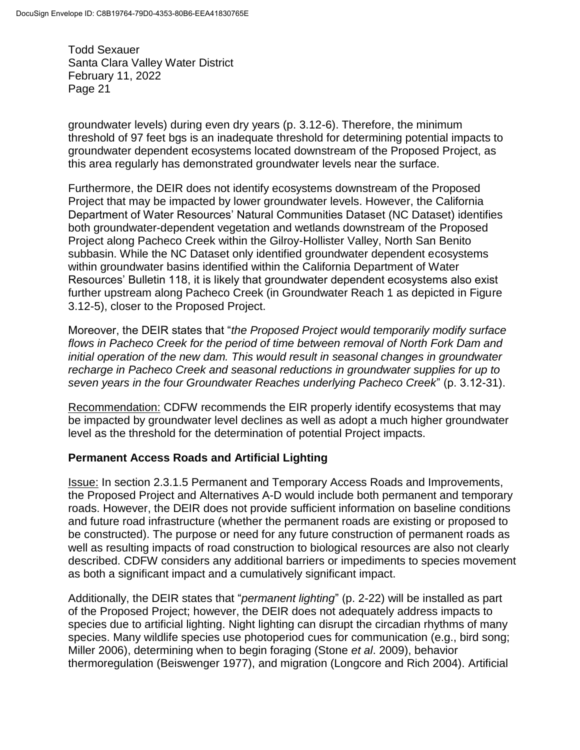groundwater levels) during even dry years (p. 3.12-6). Therefore, the minimum threshold of 97 feet bgs is an inadequate threshold for determining potential impacts to groundwater dependent ecosystems located downstream of the Proposed Project, as this area regularly has demonstrated groundwater levels near the surface.

Furthermore, the DEIR does not identify ecosystems downstream of the Proposed Project that may be impacted by lower groundwater levels. However, the California Department of Water Resources' Natural Communities Dataset (NC Dataset) identifies both groundwater-dependent vegetation and wetlands downstream of the Proposed Project along Pacheco Creek within the Gilroy-Hollister Valley, North San Benito subbasin. While the NC Dataset only identified groundwater dependent ecosystems within groundwater basins identified within the California Department of Water Resources' Bulletin 118, it is likely that groundwater dependent ecosystems also exist further upstream along Pacheco Creek (in Groundwater Reach 1 as depicted in Figure 3.12-5), closer to the Proposed Project.

Moreover, the DEIR states that "*the Proposed Project would temporarily modify surface flows in Pacheco Creek for the period of time between removal of North Fork Dam and initial operation of the new dam. This would result in seasonal changes in groundwater recharge in Pacheco Creek and seasonal reductions in groundwater supplies for up to seven years in the four Groundwater Reaches underlying Pacheco Creek*" (p. 3.12-31).

Recommendation: CDFW recommends the EIR properly identify ecosystems that may be impacted by groundwater level declines as well as adopt a much higher groundwater level as the threshold for the determination of potential Project impacts.

## **Permanent Access Roads and Artificial Lighting**

Issue: In section 2.3.1.5 Permanent and Temporary Access Roads and Improvements, the Proposed Project and Alternatives A-D would include both permanent and temporary roads. However, the DEIR does not provide sufficient information on baseline conditions and future road infrastructure (whether the permanent roads are existing or proposed to be constructed). The purpose or need for any future construction of permanent roads as well as resulting impacts of road construction to biological resources are also not clearly described. CDFW considers any additional barriers or impediments to species movement as both a significant impact and a cumulatively significant impact.

Additionally, the DEIR states that "*permanent lighting*" (p. 2-22) will be installed as part of the Proposed Project; however, the DEIR does not adequately address impacts to species due to artificial lighting. Night lighting can disrupt the circadian rhythms of many species. Many wildlife species use photoperiod cues for communication (e.g., bird song; Miller 2006), determining when to begin foraging (Stone *et al*. 2009), behavior thermoregulation (Beiswenger 1977), and migration (Longcore and Rich 2004). Artificial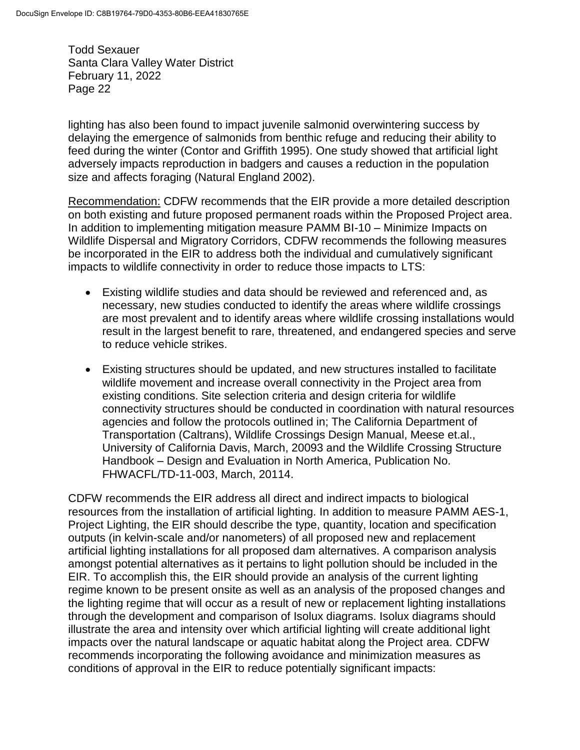lighting has also been found to impact juvenile salmonid overwintering success by delaying the emergence of salmonids from benthic refuge and reducing their ability to feed during the winter (Contor and Griffith 1995). One study showed that artificial light adversely impacts reproduction in badgers and causes a reduction in the population size and affects foraging (Natural England 2002).

Recommendation: CDFW recommends that the EIR provide a more detailed description on both existing and future proposed permanent roads within the Proposed Project area. In addition to implementing mitigation measure PAMM BI-10 – Minimize Impacts on Wildlife Dispersal and Migratory Corridors, CDFW recommends the following measures be incorporated in the EIR to address both the individual and cumulatively significant impacts to wildlife connectivity in order to reduce those impacts to LTS:

- Existing wildlife studies and data should be reviewed and referenced and, as necessary, new studies conducted to identify the areas where wildlife crossings are most prevalent and to identify areas where wildlife crossing installations would result in the largest benefit to rare, threatened, and endangered species and serve to reduce vehicle strikes.
- Existing structures should be updated, and new structures installed to facilitate wildlife movement and increase overall connectivity in the Project area from existing conditions. Site selection criteria and design criteria for wildlife connectivity structures should be conducted in coordination with natural resources agencies and follow the protocols outlined in; The California Department of Transportation (Caltrans), Wildlife Crossings Design Manual, Meese et.al., University of California Davis, March, 20093 and the Wildlife Crossing Structure Handbook – Design and Evaluation in North America, Publication No. FHWACFL/TD-11-003, March, 20114.

CDFW recommends the EIR address all direct and indirect impacts to biological resources from the installation of artificial lighting. In addition to measure PAMM AES-1, Project Lighting, the EIR should describe the type, quantity, location and specification outputs (in kelvin-scale and/or nanometers) of all proposed new and replacement artificial lighting installations for all proposed dam alternatives. A comparison analysis amongst potential alternatives as it pertains to light pollution should be included in the EIR. To accomplish this, the EIR should provide an analysis of the current lighting regime known to be present onsite as well as an analysis of the proposed changes and the lighting regime that will occur as a result of new or replacement lighting installations through the development and comparison of Isolux diagrams. Isolux diagrams should illustrate the area and intensity over which artificial lighting will create additional light impacts over the natural landscape or aquatic habitat along the Project area. CDFW recommends incorporating the following avoidance and minimization measures as conditions of approval in the EIR to reduce potentially significant impacts: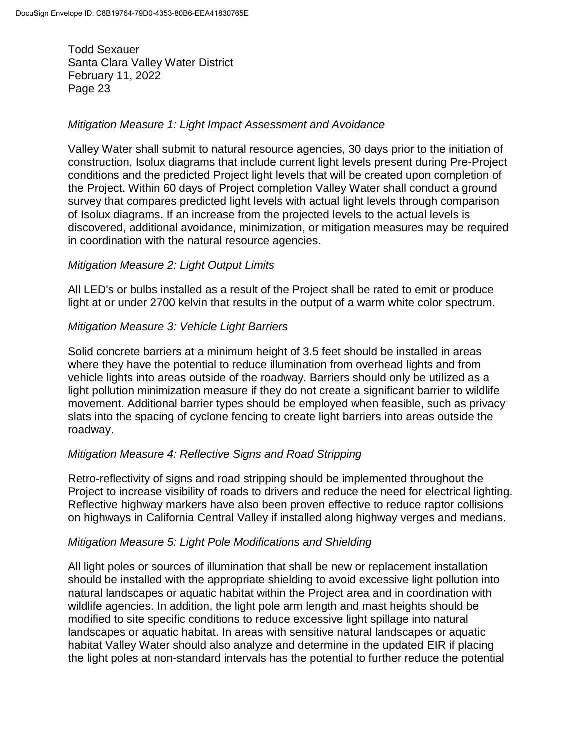#### *Mitigation Measure 1: Light Impact Assessment and Avoidance*

Valley Water shall submit to natural resource agencies, 30 days prior to the initiation of construction, Isolux diagrams that include current light levels present during Pre-Project conditions and the predicted Project light levels that will be created upon completion of the Project. Within 60 days of Project completion Valley Water shall conduct a ground survey that compares predicted light levels with actual light levels through comparison of Isolux diagrams. If an increase from the projected levels to the actual levels is discovered, additional avoidance, minimization, or mitigation measures may be required in coordination with the natural resource agencies.

#### *Mitigation Measure 2: Light Output Limits*

All LED's or bulbs installed as a result of the Project shall be rated to emit or produce light at or under 2700 kelvin that results in the output of a warm white color spectrum.

#### *Mitigation Measure 3: Vehicle Light Barriers*

Solid concrete barriers at a minimum height of 3.5 feet should be installed in areas where they have the potential to reduce illumination from overhead lights and from vehicle lights into areas outside of the roadway. Barriers should only be utilized as a light pollution minimization measure if they do not create a significant barrier to wildlife movement. Additional barrier types should be employed when feasible, such as privacy slats into the spacing of cyclone fencing to create light barriers into areas outside the roadway.

#### *Mitigation Measure 4: Reflective Signs and Road Stripping*

Retro-reflectivity of signs and road stripping should be implemented throughout the Project to increase visibility of roads to drivers and reduce the need for electrical lighting. Reflective highway markers have also been proven effective to reduce raptor collisions on highways in California Central Valley if installed along highway verges and medians.

#### *Mitigation Measure 5: Light Pole Modifications and Shielding*

All light poles or sources of illumination that shall be new or replacement installation should be installed with the appropriate shielding to avoid excessive light pollution into natural landscapes or aquatic habitat within the Project area and in coordination with wildlife agencies. In addition, the light pole arm length and mast heights should be modified to site specific conditions to reduce excessive light spillage into natural landscapes or aquatic habitat. In areas with sensitive natural landscapes or aquatic habitat Valley Water should also analyze and determine in the updated EIR if placing the light poles at non-standard intervals has the potential to further reduce the potential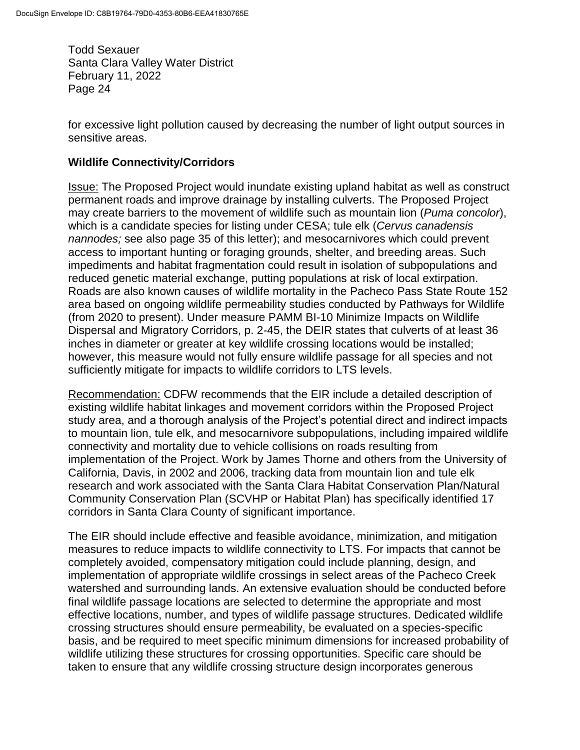for excessive light pollution caused by decreasing the number of light output sources in sensitive areas.

### **Wildlife Connectivity/Corridors**

Issue: The Proposed Project would inundate existing upland habitat as well as construct permanent roads and improve drainage by installing culverts. The Proposed Project may create barriers to the movement of wildlife such as mountain lion (*Puma concolor*), which is a candidate species for listing under CESA; tule elk (*Cervus canadensis nannodes;* see also page 35 of this letter); and mesocarnivores which could prevent access to important hunting or foraging grounds, shelter, and breeding areas. Such impediments and habitat fragmentation could result in isolation of subpopulations and reduced genetic material exchange, putting populations at risk of local extirpation. Roads are also known causes of wildlife mortality in the Pacheco Pass State Route 152 area based on ongoing wildlife permeability studies conducted by Pathways for Wildlife (from 2020 to present). Under measure PAMM BI-10 Minimize Impacts on Wildlife Dispersal and Migratory Corridors, p. 2-45, the DEIR states that culverts of at least 36 inches in diameter or greater at key wildlife crossing locations would be installed; however, this measure would not fully ensure wildlife passage for all species and not sufficiently mitigate for impacts to wildlife corridors to LTS levels.

Recommendation: CDFW recommends that the EIR include a detailed description of existing wildlife habitat linkages and movement corridors within the Proposed Project study area, and a thorough analysis of the Project's potential direct and indirect impacts to mountain lion, tule elk, and mesocarnivore subpopulations, including impaired wildlife connectivity and mortality due to vehicle collisions on roads resulting from implementation of the Project. Work by James Thorne and others from the University of California, Davis, in 2002 and 2006, tracking data from mountain lion and tule elk research and work associated with the Santa Clara Habitat Conservation Plan/Natural Community Conservation Plan (SCVHP or Habitat Plan) has specifically identified 17 corridors in Santa Clara County of significant importance.

The EIR should include effective and feasible avoidance, minimization, and mitigation measures to reduce impacts to wildlife connectivity to LTS. For impacts that cannot be completely avoided, compensatory mitigation could include planning, design, and implementation of appropriate wildlife crossings in select areas of the Pacheco Creek watershed and surrounding lands. An extensive evaluation should be conducted before final wildlife passage locations are selected to determine the appropriate and most effective locations, number, and types of wildlife passage structures. Dedicated wildlife crossing structures should ensure permeability, be evaluated on a species-specific basis, and be required to meet specific minimum dimensions for increased probability of wildlife utilizing these structures for crossing opportunities. Specific care should be taken to ensure that any wildlife crossing structure design incorporates generous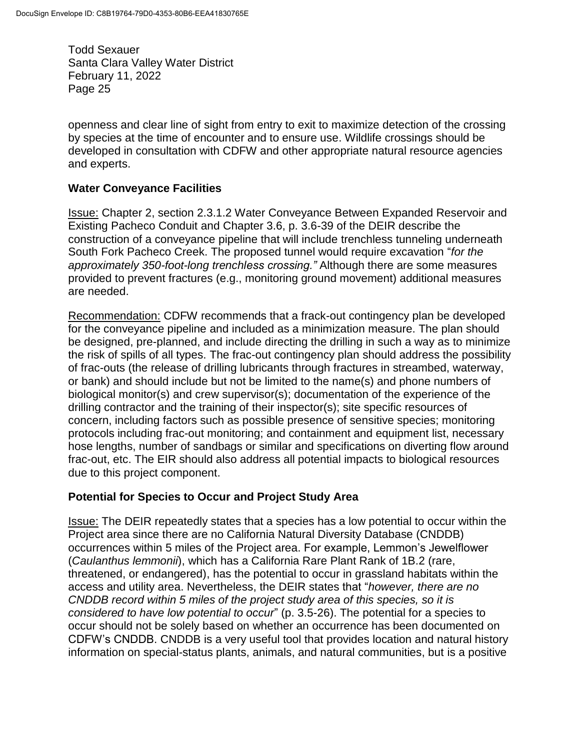openness and clear line of sight from entry to exit to maximize detection of the crossing by species at the time of encounter and to ensure use. Wildlife crossings should be developed in consultation with CDFW and other appropriate natural resource agencies and experts.

#### **Water Conveyance Facilities**

Issue: Chapter 2, section 2.3.1.2 Water Conveyance Between Expanded Reservoir and Existing Pacheco Conduit and Chapter 3.6, p. 3.6-39 of the DEIR describe the construction of a conveyance pipeline that will include trenchless tunneling underneath South Fork Pacheco Creek. The proposed tunnel would require excavation "*for the approximately 350-foot-long trenchless crossing."* Although there are some measures provided to prevent fractures (e.g., monitoring ground movement) additional measures are needed.

Recommendation: CDFW recommends that a frack-out contingency plan be developed for the conveyance pipeline and included as a minimization measure. The plan should be designed, pre-planned, and include directing the drilling in such a way as to minimize the risk of spills of all types. The frac-out contingency plan should address the possibility of frac-outs (the release of drilling lubricants through fractures in streambed, waterway, or bank) and should include but not be limited to the name(s) and phone numbers of biological monitor(s) and crew supervisor(s); documentation of the experience of the drilling contractor and the training of their inspector(s); site specific resources of concern, including factors such as possible presence of sensitive species; monitoring protocols including frac-out monitoring; and containment and equipment list, necessary hose lengths, number of sandbags or similar and specifications on diverting flow around frac-out, etc. The EIR should also address all potential impacts to biological resources due to this project component.

## **Potential for Species to Occur and Project Study Area**

Issue: The DEIR repeatedly states that a species has a low potential to occur within the Project area since there are no California Natural Diversity Database (CNDDB) occurrences within 5 miles of the Project area. For example, Lemmon's Jewelflower (*Caulanthus lemmonii*), which has a California Rare Plant Rank of 1B.2 (rare, threatened, or endangered), has the potential to occur in grassland habitats within the access and utility area. Nevertheless, the DEIR states that "*however, there are no CNDDB record within 5 miles of the project study area of this species, so it is considered to have low potential to occur*" (p. 3.5-26). The potential for a species to occur should not be solely based on whether an occurrence has been documented on CDFW's CNDDB. CNDDB is a very useful tool that provides location and natural history information on special-status plants, animals, and natural communities, but is a positive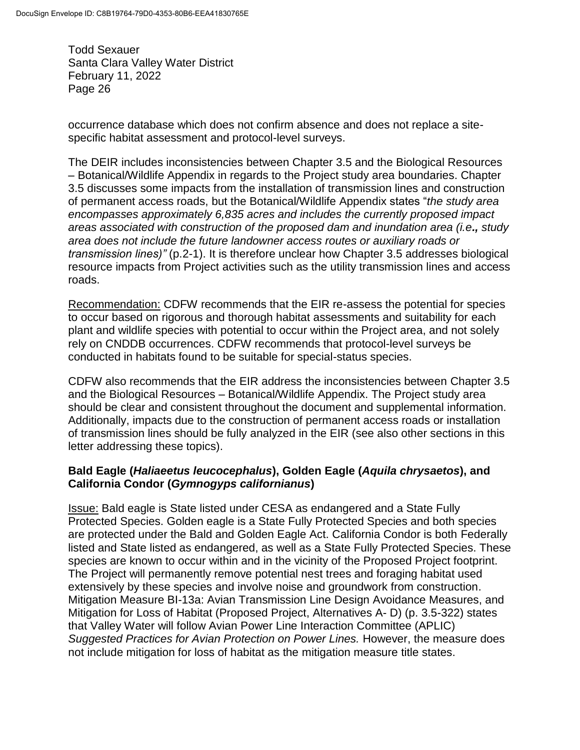occurrence database which does not confirm absence and does not replace a sitespecific habitat assessment and protocol-level surveys.

The DEIR includes inconsistencies between Chapter 3.5 and the Biological Resources – Botanical/Wildlife Appendix in regards to the Project study area boundaries. Chapter 3.5 discusses some impacts from the installation of transmission lines and construction of permanent access roads, but the Botanical/Wildlife Appendix states "*the study area encompasses approximately 6,835 acres and includes the currently proposed impact areas associated with construction of the proposed dam and inundation area (i.e., study area does not include the future landowner access routes or auxiliary roads or transmission lines)"* (p.2-1). It is therefore unclear how Chapter 3.5 addresses biological resource impacts from Project activities such as the utility transmission lines and access roads.

Recommendation: CDFW recommends that the EIR re-assess the potential for species to occur based on rigorous and thorough habitat assessments and suitability for each plant and wildlife species with potential to occur within the Project area, and not solely rely on CNDDB occurrences. CDFW recommends that protocol-level surveys be conducted in habitats found to be suitable for special-status species.

CDFW also recommends that the EIR address the inconsistencies between Chapter 3.5 and the Biological Resources – Botanical/Wildlife Appendix. The Project study area should be clear and consistent throughout the document and supplemental information. Additionally, impacts due to the construction of permanent access roads or installation of transmission lines should be fully analyzed in the EIR (see also other sections in this letter addressing these topics).

## **Bald Eagle (***Haliaeetus leucocephalus***), Golden Eagle (***Aquila chrysaetos***), and California Condor (***Gymnogyps californianus***)**

Issue: Bald eagle is State listed under CESA as endangered and a State Fully Protected Species. Golden eagle is a State Fully Protected Species and both species are protected under the Bald and Golden Eagle Act. California Condor is both Federally listed and State listed as endangered, as well as a State Fully Protected Species. These species are known to occur within and in the vicinity of the Proposed Project footprint. The Project will permanently remove potential nest trees and foraging habitat used extensively by these species and involve noise and groundwork from construction. Mitigation Measure BI-13a: Avian Transmission Line Design Avoidance Measures, and Mitigation for Loss of Habitat (Proposed Project, Alternatives A- D) (p. 3.5-322) states that Valley Water will follow Avian Power Line Interaction Committee (APLIC) *Suggested Practices for Avian Protection on Power Lines.* However, the measure does not include mitigation for loss of habitat as the mitigation measure title states.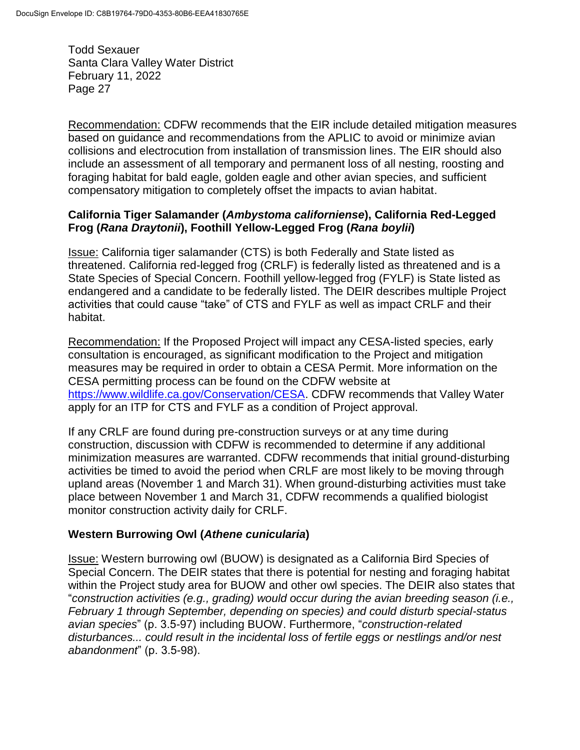Recommendation: CDFW recommends that the EIR include detailed mitigation measures based on guidance and recommendations from the APLIC to avoid or minimize avian collisions and electrocution from installation of transmission lines. The EIR should also include an assessment of all temporary and permanent loss of all nesting, roosting and foraging habitat for bald eagle, golden eagle and other avian species, and sufficient compensatory mitigation to completely offset the impacts to avian habitat.

### **California Tiger Salamander (***Ambystoma californiense***), California Red-Legged Frog (***Rana Draytonii***), Foothill Yellow-Legged Frog (***Rana boylii***)**

Issue: California tiger salamander (CTS) is both Federally and State listed as threatened. California red-legged frog (CRLF) is federally listed as threatened and is a State Species of Special Concern. Foothill yellow-legged frog (FYLF) is State listed as endangered and a candidate to be federally listed. The DEIR describes multiple Project activities that could cause "take" of CTS and FYLF as well as impact CRLF and their habitat.

Recommendation: If the Proposed Project will impact any CESA-listed species, early consultation is encouraged, as significant modification to the Project and mitigation measures may be required in order to obtain a CESA Permit. More information on the CESA permitting process can be found on the CDFW website at [https://www.wildlife.ca.gov/Conservation/CESA.](https://www.wildlife.ca.gov/Conservation/CESA) CDFW recommends that Valley Water apply for an ITP for CTS and FYLF as a condition of Project approval.

If any CRLF are found during pre-construction surveys or at any time during construction, discussion with CDFW is recommended to determine if any additional minimization measures are warranted. CDFW recommends that initial ground-disturbing activities be timed to avoid the period when CRLF are most likely to be moving through upland areas (November 1 and March 31). When ground-disturbing activities must take place between November 1 and March 31, CDFW recommends a qualified biologist monitor construction activity daily for CRLF.

## **Western Burrowing Owl (***Athene cunicularia***)**

Issue: Western burrowing owl (BUOW) is designated as a California Bird Species of Special Concern. The DEIR states that there is potential for nesting and foraging habitat within the Project study area for BUOW and other owl species. The DEIR also states that "*construction activities (e.g., grading) would occur during the avian breeding season (i.e., February 1 through September, depending on species) and could disturb special-status avian species*" (p. 3.5-97) including BUOW. Furthermore, "*construction-related disturbances... could result in the incidental loss of fertile eggs or nestlings and/or nest abandonment*" (p. 3.5-98).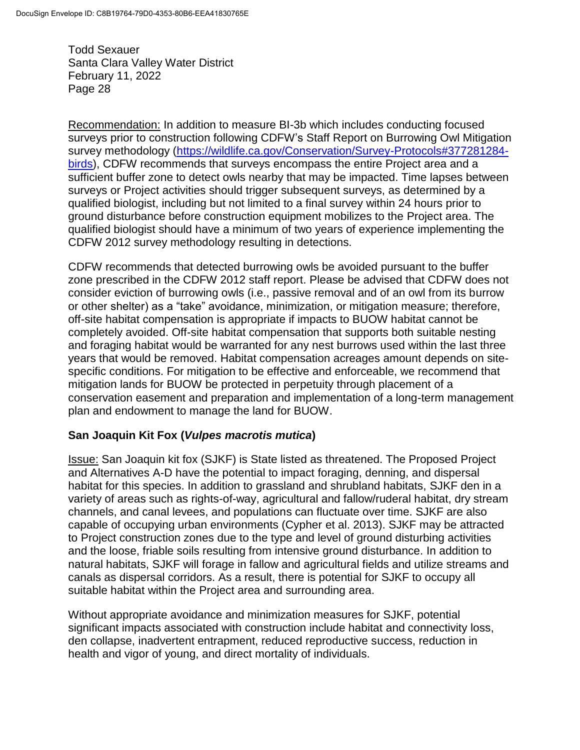Recommendation: In addition to measure BI-3b which includes conducting focused surveys prior to construction following CDFW's Staff Report on Burrowing Owl Mitigation survey methodology [\(https://wildlife.ca.gov/Conservation/Survey-Protocols#377281284](https://wildlife.ca.gov/Conservation/Survey-Protocols#377281284-birds) [birds\)](https://wildlife.ca.gov/Conservation/Survey-Protocols#377281284-birds), CDFW recommends that surveys encompass the entire Project area and a sufficient buffer zone to detect owls nearby that may be impacted. Time lapses between surveys or Project activities should trigger subsequent surveys, as determined by a qualified biologist, including but not limited to a final survey within 24 hours prior to ground disturbance before construction equipment mobilizes to the Project area. The qualified biologist should have a minimum of two years of experience implementing the CDFW 2012 survey methodology resulting in detections.

CDFW recommends that detected burrowing owls be avoided pursuant to the buffer zone prescribed in the CDFW 2012 staff report. Please be advised that CDFW does not consider eviction of burrowing owls (i.e., passive removal and of an owl from its burrow or other shelter) as a "take" avoidance, minimization, or mitigation measure; therefore, off-site habitat compensation is appropriate if impacts to BUOW habitat cannot be completely avoided. Off-site habitat compensation that supports both suitable nesting and foraging habitat would be warranted for any nest burrows used within the last three years that would be removed. Habitat compensation acreages amount depends on sitespecific conditions. For mitigation to be effective and enforceable, we recommend that mitigation lands for BUOW be protected in perpetuity through placement of a conservation easement and preparation and implementation of a long-term management plan and endowment to manage the land for BUOW.

#### **San Joaquin Kit Fox (***Vulpes macrotis mutica***)**

Issue: San Joaquin kit fox (SJKF) is State listed as threatened. The Proposed Project and Alternatives A-D have the potential to impact foraging, denning, and dispersal habitat for this species. In addition to grassland and shrubland habitats, SJKF den in a variety of areas such as rights-of-way, agricultural and fallow/ruderal habitat, dry stream channels, and canal levees, and populations can fluctuate over time. SJKF are also capable of occupying urban environments (Cypher et al. 2013). SJKF may be attracted to Project construction zones due to the type and level of ground disturbing activities and the loose, friable soils resulting from intensive ground disturbance. In addition to natural habitats, SJKF will forage in fallow and agricultural fields and utilize streams and canals as dispersal corridors. As a result, there is potential for SJKF to occupy all suitable habitat within the Project area and surrounding area.

Without appropriate avoidance and minimization measures for SJKF, potential significant impacts associated with construction include habitat and connectivity loss, den collapse, inadvertent entrapment, reduced reproductive success, reduction in health and vigor of young, and direct mortality of individuals.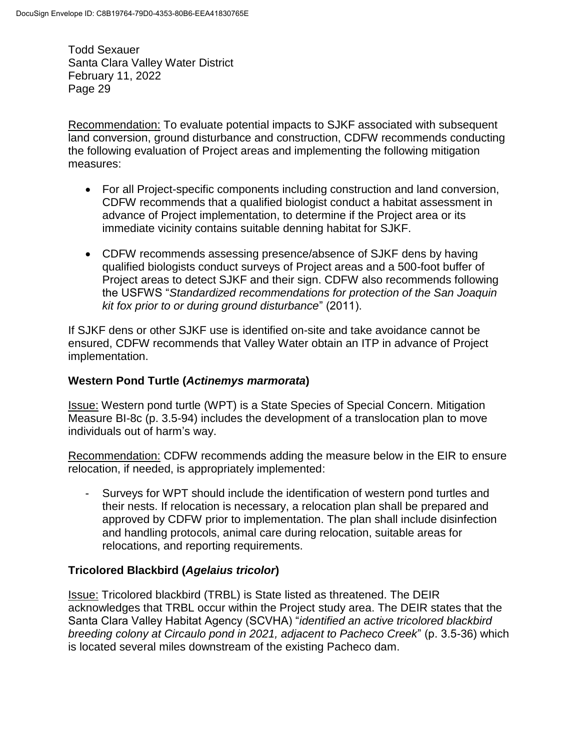Recommendation: To evaluate potential impacts to SJKF associated with subsequent land conversion, ground disturbance and construction, CDFW recommends conducting the following evaluation of Project areas and implementing the following mitigation measures:

- For all Project-specific components including construction and land conversion, CDFW recommends that a qualified biologist conduct a habitat assessment in advance of Project implementation, to determine if the Project area or its immediate vicinity contains suitable denning habitat for SJKF.
- CDFW recommends assessing presence/absence of SJKF dens by having qualified biologists conduct surveys of Project areas and a 500-foot buffer of Project areas to detect SJKF and their sign. CDFW also recommends following the USFWS "*Standardized recommendations for protection of the San Joaquin kit fox prior to or during ground disturbance*" (2011).

If SJKF dens or other SJKF use is identified on-site and take avoidance cannot be ensured, CDFW recommends that Valley Water obtain an ITP in advance of Project implementation.

## **Western Pond Turtle (***Actinemys marmorata***)**

Issue: Western pond turtle (WPT) is a State Species of Special Concern. Mitigation Measure BI-8c (p. 3.5-94) includes the development of a translocation plan to move individuals out of harm's way.

Recommendation: CDFW recommends adding the measure below in the EIR to ensure relocation, if needed, is appropriately implemented:

- Surveys for WPT should include the identification of western pond turtles and their nests. If relocation is necessary, a relocation plan shall be prepared and approved by CDFW prior to implementation. The plan shall include disinfection and handling protocols, animal care during relocation, suitable areas for relocations, and reporting requirements.

## **Tricolored Blackbird (***Agelaius tricolor***)**

Issue: Tricolored blackbird (TRBL) is State listed as threatened. The DEIR acknowledges that TRBL occur within the Project study area. The DEIR states that the Santa Clara Valley Habitat Agency (SCVHA) "*identified an active tricolored blackbird breeding colony at Circaulo pond in 2021, adjacent to Pacheco Creek*" (p. 3.5-36) which is located several miles downstream of the existing Pacheco dam.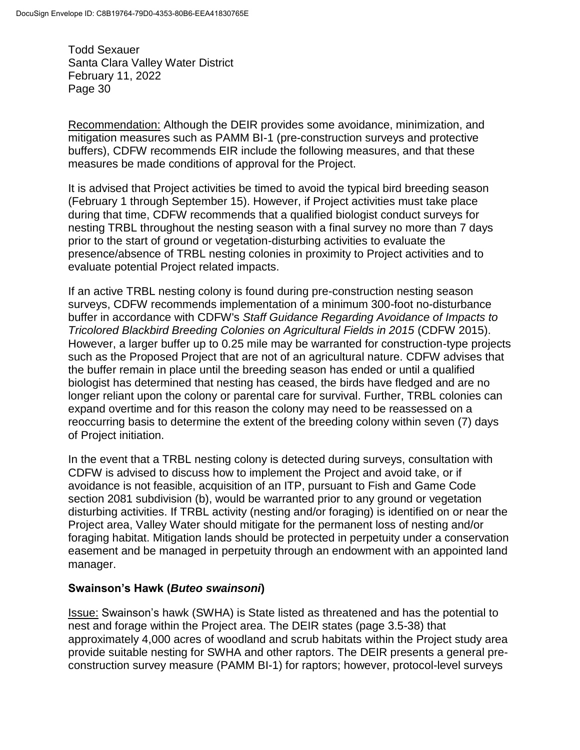Recommendation: Although the DEIR provides some avoidance, minimization, and mitigation measures such as PAMM BI-1 (pre-construction surveys and protective buffers), CDFW recommends EIR include the following measures, and that these measures be made conditions of approval for the Project.

It is advised that Project activities be timed to avoid the typical bird breeding season (February 1 through September 15). However, if Project activities must take place during that time, CDFW recommends that a qualified biologist conduct surveys for nesting TRBL throughout the nesting season with a final survey no more than 7 days prior to the start of ground or vegetation-disturbing activities to evaluate the presence/absence of TRBL nesting colonies in proximity to Project activities and to evaluate potential Project related impacts.

If an active TRBL nesting colony is found during pre-construction nesting season surveys, CDFW recommends implementation of a minimum 300-foot no-disturbance buffer in accordance with CDFW's *Staff Guidance Regarding Avoidance of Impacts to Tricolored Blackbird Breeding Colonies on Agricultural Fields in 2015* (CDFW 2015). However, a larger buffer up to 0.25 mile may be warranted for construction-type projects such as the Proposed Project that are not of an agricultural nature. CDFW advises that the buffer remain in place until the breeding season has ended or until a qualified biologist has determined that nesting has ceased, the birds have fledged and are no longer reliant upon the colony or parental care for survival. Further, TRBL colonies can expand overtime and for this reason the colony may need to be reassessed on a reoccurring basis to determine the extent of the breeding colony within seven (7) days of Project initiation.

In the event that a TRBL nesting colony is detected during surveys, consultation with CDFW is advised to discuss how to implement the Project and avoid take, or if avoidance is not feasible, acquisition of an ITP, pursuant to Fish and Game Code section 2081 subdivision (b), would be warranted prior to any ground or vegetation disturbing activities. If TRBL activity (nesting and/or foraging) is identified on or near the Project area, Valley Water should mitigate for the permanent loss of nesting and/or foraging habitat. Mitigation lands should be protected in perpetuity under a conservation easement and be managed in perpetuity through an endowment with an appointed land manager.

## **Swainson's Hawk (***Buteo swainsoni***)**

Issue: Swainson's hawk (SWHA) is State listed as threatened and has the potential to nest and forage within the Project area. The DEIR states (page 3.5-38) that approximately 4,000 acres of woodland and scrub habitats within the Project study area provide suitable nesting for SWHA and other raptors. The DEIR presents a general preconstruction survey measure (PAMM BI-1) for raptors; however, protocol-level surveys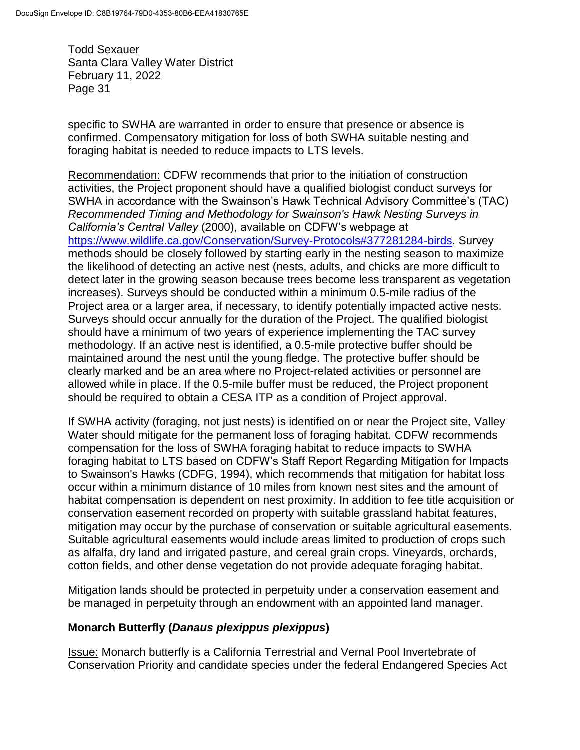specific to SWHA are warranted in order to ensure that presence or absence is confirmed. Compensatory mitigation for loss of both SWHA suitable nesting and foraging habitat is needed to reduce impacts to LTS levels.

Recommendation: CDFW recommends that prior to the initiation of construction activities, the Project proponent should have a qualified biologist conduct surveys for SWHA in accordance with the Swainson's Hawk Technical Advisory Committee's (TAC) *Recommended Timing and Methodology for Swainson's Hawk Nesting Surveys in California's Central Valley* (2000), available on CDFW's webpage at [https://www.wildlife.ca.gov/Conservation/Survey-Protocols#377281284-birds.](https://www.wildlife.ca.gov/Conservation/Survey-Protocols#377281284-birds) Survey methods should be closely followed by starting early in the nesting season to maximize the likelihood of detecting an active nest (nests, adults, and chicks are more difficult to detect later in the growing season because trees become less transparent as vegetation increases). Surveys should be conducted within a minimum 0.5-mile radius of the Project area or a larger area, if necessary, to identify potentially impacted active nests. Surveys should occur annually for the duration of the Project. The qualified biologist should have a minimum of two years of experience implementing the TAC survey methodology. If an active nest is identified, a 0.5-mile protective buffer should be maintained around the nest until the young fledge. The protective buffer should be clearly marked and be an area where no Project-related activities or personnel are allowed while in place. If the 0.5-mile buffer must be reduced, the Project proponent should be required to obtain a CESA ITP as a condition of Project approval.

If SWHA activity (foraging, not just nests) is identified on or near the Project site, Valley Water should mitigate for the permanent loss of foraging habitat. CDFW recommends compensation for the loss of SWHA foraging habitat to reduce impacts to SWHA foraging habitat to LTS based on CDFW's Staff Report Regarding Mitigation for Impacts to Swainson's Hawks (CDFG, 1994), which recommends that mitigation for habitat loss occur within a minimum distance of 10 miles from known nest sites and the amount of habitat compensation is dependent on nest proximity. In addition to fee title acquisition or conservation easement recorded on property with suitable grassland habitat features, mitigation may occur by the purchase of conservation or suitable agricultural easements. Suitable agricultural easements would include areas limited to production of crops such as alfalfa, dry land and irrigated pasture, and cereal grain crops. Vineyards, orchards, cotton fields, and other dense vegetation do not provide adequate foraging habitat.

Mitigation lands should be protected in perpetuity under a conservation easement and be managed in perpetuity through an endowment with an appointed land manager.

## **Monarch Butterfly (***Danaus plexippus plexippus***)**

Issue: Monarch butterfly is a California Terrestrial and Vernal Pool Invertebrate of Conservation Priority and candidate species under the federal Endangered Species Act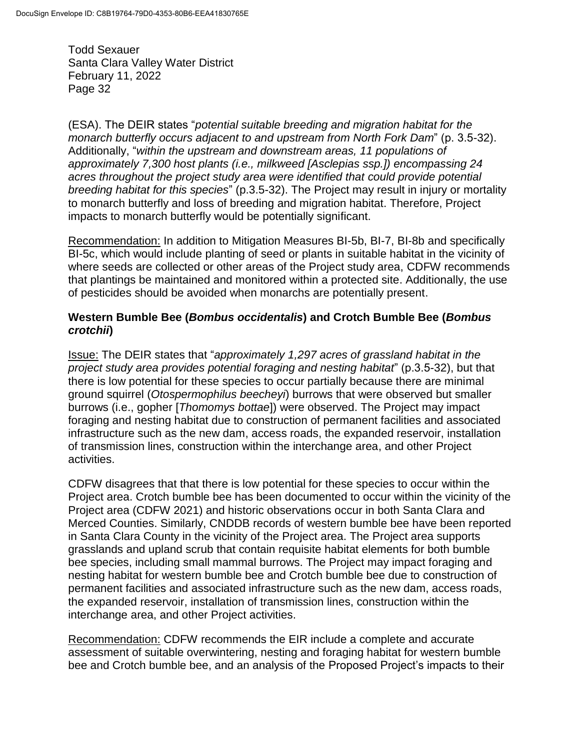(ESA). The DEIR states "*potential suitable breeding and migration habitat for the monarch butterfly occurs adjacent to and upstream from North Fork Dam*" (p. 3.5-32). Additionally, "*within the upstream and downstream areas, 11 populations of approximately 7,300 host plants (i.e., milkweed [Asclepias ssp.]) encompassing 24 acres throughout the project study area were identified that could provide potential breeding habitat for this species*" (p.3.5-32). The Project may result in injury or mortality to monarch butterfly and loss of breeding and migration habitat. Therefore, Project impacts to monarch butterfly would be potentially significant.

Recommendation: In addition to Mitigation Measures BI-5b, BI-7, BI-8b and specifically BI-5c, which would include planting of seed or plants in suitable habitat in the vicinity of where seeds are collected or other areas of the Project study area, CDFW recommends that plantings be maintained and monitored within a protected site. Additionally, the use of pesticides should be avoided when monarchs are potentially present.

### **Western Bumble Bee (***Bombus occidentalis***) and Crotch Bumble Bee (***Bombus crotchii***)**

Issue: The DEIR states that "*approximately 1,297 acres of grassland habitat in the project study area provides potential foraging and nesting habitat*" (p.3.5-32), but that there is low potential for these species to occur partially because there are minimal ground squirrel (*Otospermophilus beecheyi*) burrows that were observed but smaller burrows (i.e., gopher [*Thomomys bottae*]) were observed. The Project may impact foraging and nesting habitat due to construction of permanent facilities and associated infrastructure such as the new dam, access roads, the expanded reservoir, installation of transmission lines, construction within the interchange area, and other Project activities.

CDFW disagrees that that there is low potential for these species to occur within the Project area. Crotch bumble bee has been documented to occur within the vicinity of the Project area (CDFW 2021) and historic observations occur in both Santa Clara and Merced Counties. Similarly, CNDDB records of western bumble bee have been reported in Santa Clara County in the vicinity of the Project area. The Project area supports grasslands and upland scrub that contain requisite habitat elements for both bumble bee species, including small mammal burrows. The Project may impact foraging and nesting habitat for western bumble bee and Crotch bumble bee due to construction of permanent facilities and associated infrastructure such as the new dam, access roads, the expanded reservoir, installation of transmission lines, construction within the interchange area, and other Project activities.

Recommendation: CDFW recommends the EIR include a complete and accurate assessment of suitable overwintering, nesting and foraging habitat for western bumble bee and Crotch bumble bee, and an analysis of the Proposed Project's impacts to their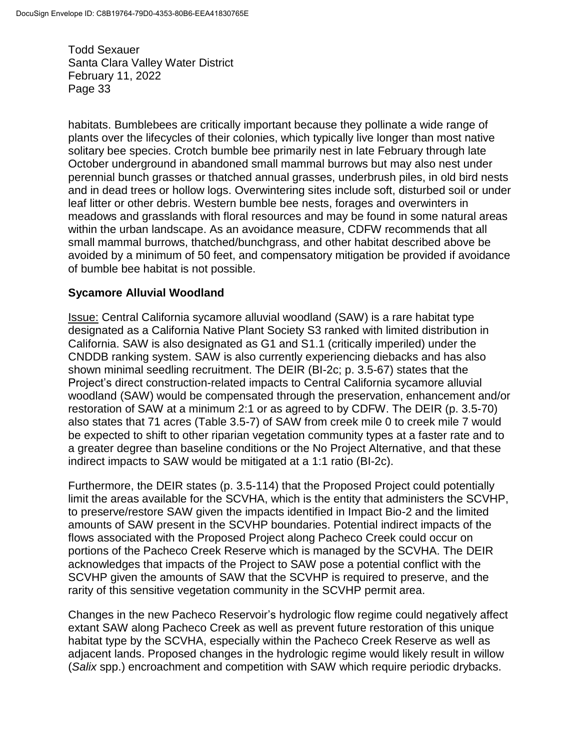habitats. Bumblebees are critically important because they pollinate a wide range of plants over the lifecycles of their colonies, which typically live longer than most native solitary bee species. Crotch bumble bee primarily nest in late February through late October underground in abandoned small mammal burrows but may also nest under perennial bunch grasses or thatched annual grasses, underbrush piles, in old bird nests and in dead trees or hollow logs. Overwintering sites include soft, disturbed soil or under leaf litter or other debris. Western bumble bee nests, forages and overwinters in meadows and grasslands with floral resources and may be found in some natural areas within the urban landscape. As an avoidance measure, CDFW recommends that all small mammal burrows, thatched/bunchgrass, and other habitat described above be avoided by a minimum of 50 feet, and compensatory mitigation be provided if avoidance of bumble bee habitat is not possible.

#### **Sycamore Alluvial Woodland**

Issue: Central California sycamore alluvial woodland (SAW) is a rare habitat type designated as a California Native Plant Society S3 ranked with limited distribution in California. SAW is also designated as G1 and S1.1 (critically imperiled) under the CNDDB ranking system. SAW is also currently experiencing diebacks and has also shown minimal seedling recruitment. The DEIR (BI-2c; p. 3.5-67) states that the Project's direct construction-related impacts to Central California sycamore alluvial woodland (SAW) would be compensated through the preservation, enhancement and/or restoration of SAW at a minimum 2:1 or as agreed to by CDFW. The DEIR (p. 3.5-70) also states that 71 acres (Table 3.5-7) of SAW from creek mile 0 to creek mile 7 would be expected to shift to other riparian vegetation community types at a faster rate and to a greater degree than baseline conditions or the No Project Alternative, and that these indirect impacts to SAW would be mitigated at a 1:1 ratio (BI-2c).

Furthermore, the DEIR states (p. 3.5-114) that the Proposed Project could potentially limit the areas available for the SCVHA, which is the entity that administers the SCVHP, to preserve/restore SAW given the impacts identified in Impact Bio-2 and the limited amounts of SAW present in the SCVHP boundaries. Potential indirect impacts of the flows associated with the Proposed Project along Pacheco Creek could occur on portions of the Pacheco Creek Reserve which is managed by the SCVHA. The DEIR acknowledges that impacts of the Project to SAW pose a potential conflict with the SCVHP given the amounts of SAW that the SCVHP is required to preserve, and the rarity of this sensitive vegetation community in the SCVHP permit area.

Changes in the new Pacheco Reservoir's hydrologic flow regime could negatively affect extant SAW along Pacheco Creek as well as prevent future restoration of this unique habitat type by the SCVHA, especially within the Pacheco Creek Reserve as well as adjacent lands. Proposed changes in the hydrologic regime would likely result in willow (*Salix* spp.) encroachment and competition with SAW which require periodic drybacks.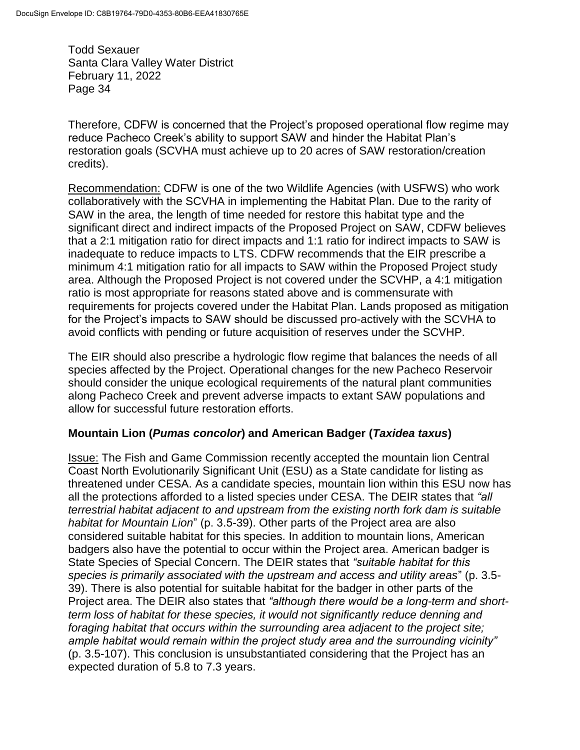Therefore, CDFW is concerned that the Project's proposed operational flow regime may reduce Pacheco Creek's ability to support SAW and hinder the Habitat Plan's restoration goals (SCVHA must achieve up to 20 acres of SAW restoration/creation credits).

Recommendation: CDFW is one of the two Wildlife Agencies (with USFWS) who work collaboratively with the SCVHA in implementing the Habitat Plan. Due to the rarity of SAW in the area, the length of time needed for restore this habitat type and the significant direct and indirect impacts of the Proposed Project on SAW, CDFW believes that a 2:1 mitigation ratio for direct impacts and 1:1 ratio for indirect impacts to SAW is inadequate to reduce impacts to LTS. CDFW recommends that the EIR prescribe a minimum 4:1 mitigation ratio for all impacts to SAW within the Proposed Project study area. Although the Proposed Project is not covered under the SCVHP, a 4:1 mitigation ratio is most appropriate for reasons stated above and is commensurate with requirements for projects covered under the Habitat Plan. Lands proposed as mitigation for the Project's impacts to SAW should be discussed pro-actively with the SCVHA to avoid conflicts with pending or future acquisition of reserves under the SCVHP.

The EIR should also prescribe a hydrologic flow regime that balances the needs of all species affected by the Project. Operational changes for the new Pacheco Reservoir should consider the unique ecological requirements of the natural plant communities along Pacheco Creek and prevent adverse impacts to extant SAW populations and allow for successful future restoration efforts.

## **Mountain Lion (***Pumas concolor***) and American Badger (***Taxidea taxus***)**

**Issue:** The Fish and Game Commission recently accepted the mountain lion Central Coast North Evolutionarily Significant Unit (ESU) as a State candidate for listing as threatened under CESA. As a candidate species, mountain lion within this ESU now has all the protections afforded to a listed species under CESA. The DEIR states that *"all terrestrial habitat adjacent to and upstream from the existing north fork dam is suitable habitat for Mountain Lion*" (p. 3.5-39). Other parts of the Project area are also considered suitable habitat for this species. In addition to mountain lions, American badgers also have the potential to occur within the Project area. American badger is State Species of Special Concern. The DEIR states that *"suitable habitat for this species is primarily associated with the upstream and access and utility areas*" (p. 3.5- 39). There is also potential for suitable habitat for the badger in other parts of the Project area. The DEIR also states that *"although there would be a long-term and shortterm loss of habitat for these species, it would not significantly reduce denning and foraging habitat that occurs within the surrounding area adjacent to the project site; ample habitat would remain within the project study area and the surrounding vicinity"* (p. 3.5-107). This conclusion is unsubstantiated considering that the Project has an expected duration of 5.8 to 7.3 years.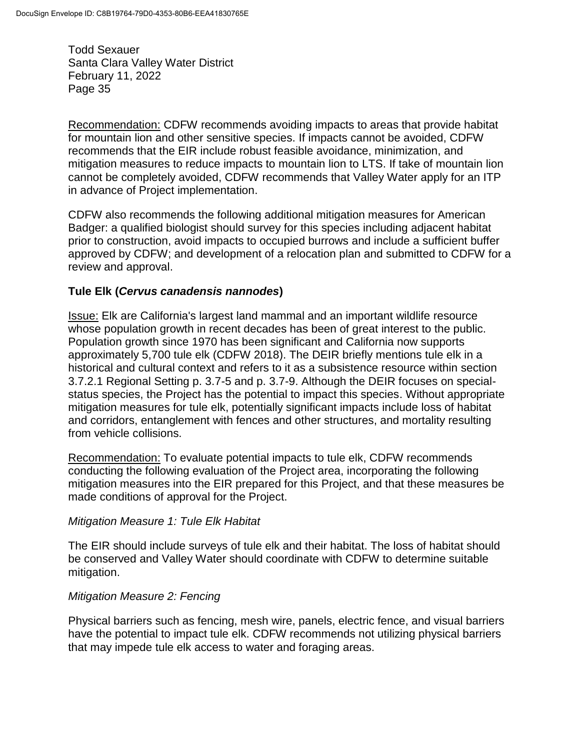Recommendation: CDFW recommends avoiding impacts to areas that provide habitat for mountain lion and other sensitive species. If impacts cannot be avoided, CDFW recommends that the EIR include robust feasible avoidance, minimization, and mitigation measures to reduce impacts to mountain lion to LTS. If take of mountain lion cannot be completely avoided, CDFW recommends that Valley Water apply for an ITP in advance of Project implementation.

CDFW also recommends the following additional mitigation measures for American Badger: a qualified biologist should survey for this species including adjacent habitat prior to construction, avoid impacts to occupied burrows and include a sufficient buffer approved by CDFW; and development of a relocation plan and submitted to CDFW for a review and approval.

#### **Tule Elk (***Cervus canadensis nannodes***)**

Issue: Elk are California's largest land mammal and an important wildlife resource whose population growth in recent decades has been of great interest to the public. Population growth since 1970 has been significant and California now supports approximately 5,700 tule elk (CDFW 2018). The DEIR briefly mentions tule elk in a historical and cultural context and refers to it as a subsistence resource within section 3.7.2.1 Regional Setting p. 3.7-5 and p. 3.7-9. Although the DEIR focuses on specialstatus species, the Project has the potential to impact this species. Without appropriate mitigation measures for tule elk, potentially significant impacts include loss of habitat and corridors, entanglement with fences and other structures, and mortality resulting from vehicle collisions.

Recommendation: To evaluate potential impacts to tule elk, CDFW recommends conducting the following evaluation of the Project area, incorporating the following mitigation measures into the EIR prepared for this Project, and that these measures be made conditions of approval for the Project.

#### *Mitigation Measure 1: Tule Elk Habitat*

The EIR should include surveys of tule elk and their habitat. The loss of habitat should be conserved and Valley Water should coordinate with CDFW to determine suitable mitigation.

#### *Mitigation Measure 2: Fencing*

Physical barriers such as fencing, mesh wire, panels, electric fence, and visual barriers have the potential to impact tule elk. CDFW recommends not utilizing physical barriers that may impede tule elk access to water and foraging areas.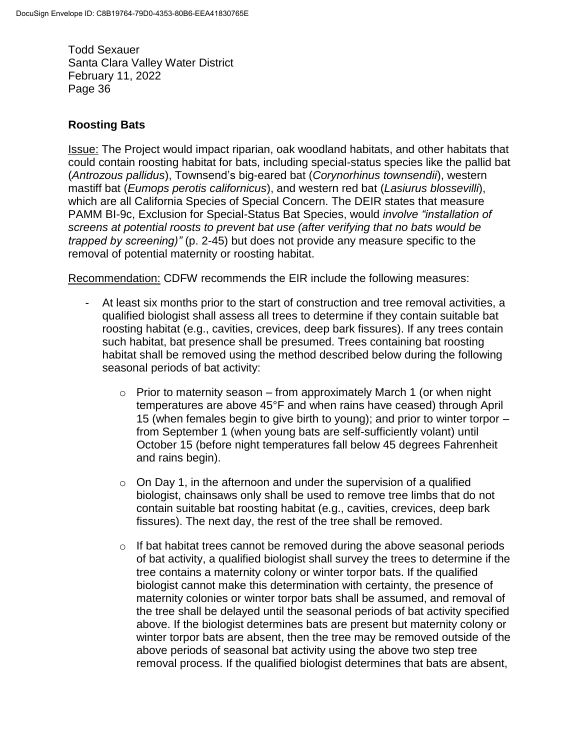### **Roosting Bats**

Issue: The Project would impact riparian, oak woodland habitats, and other habitats that could contain roosting habitat for bats, including special-status species like the pallid bat (*Antrozous pallidus*), Townsend's big-eared bat (*Corynorhinus townsendii*), western mastiff bat (*Eumops perotis californicus*), and western red bat (*Lasiurus blossevilli*), which are all California Species of Special Concern. The DEIR states that measure PAMM BI-9c, Exclusion for Special-Status Bat Species, would *involve "installation of screens at potential roosts to prevent bat use (after verifying that no bats would be trapped by screening)"* (p. 2-45) but does not provide any measure specific to the removal of potential maternity or roosting habitat.

Recommendation: CDFW recommends the EIR include the following measures:

- At least six months prior to the start of construction and tree removal activities, a qualified biologist shall assess all trees to determine if they contain suitable bat roosting habitat (e.g., cavities, crevices, deep bark fissures). If any trees contain such habitat, bat presence shall be presumed. Trees containing bat roosting habitat shall be removed using the method described below during the following seasonal periods of bat activity:
	- $\circ$  Prior to maternity season from approximately March 1 (or when night temperatures are above 45°F and when rains have ceased) through April 15 (when females begin to give birth to young); and prior to winter torpor – from September 1 (when young bats are self-sufficiently volant) until October 15 (before night temperatures fall below 45 degrees Fahrenheit and rains begin).
	- $\circ$  On Day 1, in the afternoon and under the supervision of a qualified biologist, chainsaws only shall be used to remove tree limbs that do not contain suitable bat roosting habitat (e.g., cavities, crevices, deep bark fissures). The next day, the rest of the tree shall be removed.
	- o If bat habitat trees cannot be removed during the above seasonal periods of bat activity, a qualified biologist shall survey the trees to determine if the tree contains a maternity colony or winter torpor bats. If the qualified biologist cannot make this determination with certainty, the presence of maternity colonies or winter torpor bats shall be assumed, and removal of the tree shall be delayed until the seasonal periods of bat activity specified above. If the biologist determines bats are present but maternity colony or winter torpor bats are absent, then the tree may be removed outside of the above periods of seasonal bat activity using the above two step tree removal process. If the qualified biologist determines that bats are absent,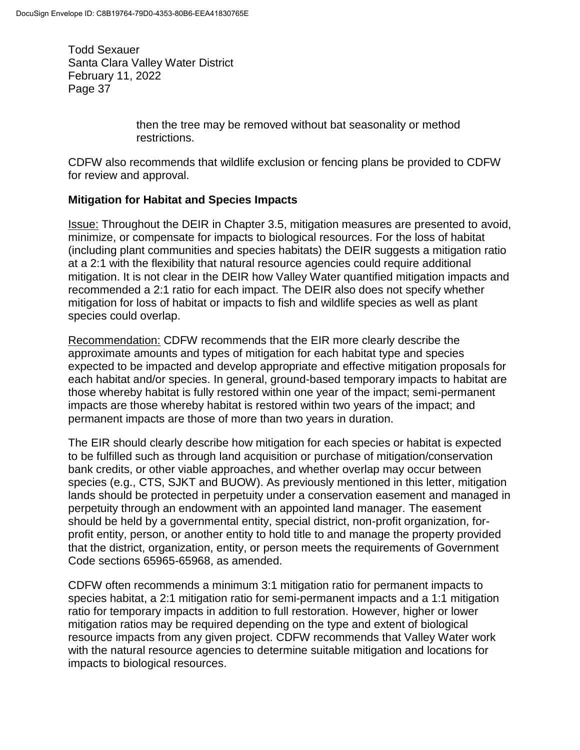> then the tree may be removed without bat seasonality or method restrictions.

CDFW also recommends that wildlife exclusion or fencing plans be provided to CDFW for review and approval.

## **Mitigation for Habitat and Species Impacts**

Issue: Throughout the DEIR in Chapter 3.5, mitigation measures are presented to avoid, minimize, or compensate for impacts to biological resources. For the loss of habitat (including plant communities and species habitats) the DEIR suggests a mitigation ratio at a 2:1 with the flexibility that natural resource agencies could require additional mitigation. It is not clear in the DEIR how Valley Water quantified mitigation impacts and recommended a 2:1 ratio for each impact. The DEIR also does not specify whether mitigation for loss of habitat or impacts to fish and wildlife species as well as plant species could overlap.

Recommendation: CDFW recommends that the EIR more clearly describe the approximate amounts and types of mitigation for each habitat type and species expected to be impacted and develop appropriate and effective mitigation proposals for each habitat and/or species. In general, ground-based temporary impacts to habitat are those whereby habitat is fully restored within one year of the impact; semi-permanent impacts are those whereby habitat is restored within two years of the impact; and permanent impacts are those of more than two years in duration.

The EIR should clearly describe how mitigation for each species or habitat is expected to be fulfilled such as through land acquisition or purchase of mitigation/conservation bank credits, or other viable approaches, and whether overlap may occur between species (e.g., CTS, SJKT and BUOW). As previously mentioned in this letter, mitigation lands should be protected in perpetuity under a conservation easement and managed in perpetuity through an endowment with an appointed land manager. The easement should be held by a governmental entity, special district, non-profit organization, forprofit entity, person, or another entity to hold title to and manage the property provided that the district, organization, entity, or person meets the requirements of Government Code sections 65965-65968, as amended.

CDFW often recommends a minimum 3:1 mitigation ratio for permanent impacts to species habitat, a 2:1 mitigation ratio for semi-permanent impacts and a 1:1 mitigation ratio for temporary impacts in addition to full restoration. However, higher or lower mitigation ratios may be required depending on the type and extent of biological resource impacts from any given project. CDFW recommends that Valley Water work with the natural resource agencies to determine suitable mitigation and locations for impacts to biological resources.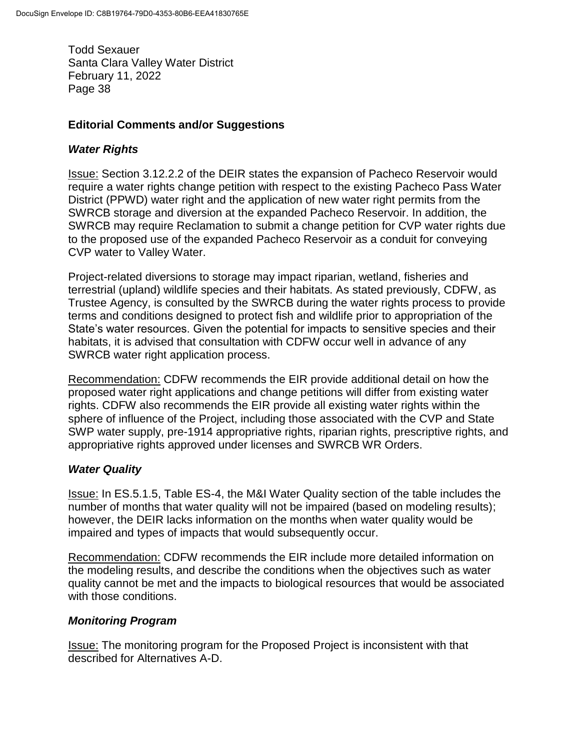### **Editorial Comments and/or Suggestions**

### *Water Rights*

Issue: Section 3.12.2.2 of the DEIR states the expansion of Pacheco Reservoir would require a water rights change petition with respect to the existing Pacheco Pass Water District (PPWD) water right and the application of new water right permits from the SWRCB storage and diversion at the expanded Pacheco Reservoir. In addition, the SWRCB may require Reclamation to submit a change petition for CVP water rights due to the proposed use of the expanded Pacheco Reservoir as a conduit for conveying CVP water to Valley Water.

Project-related diversions to storage may impact riparian, wetland, fisheries and terrestrial (upland) wildlife species and their habitats. As stated previously, CDFW, as Trustee Agency, is consulted by the SWRCB during the water rights process to provide terms and conditions designed to protect fish and wildlife prior to appropriation of the State's water resources. Given the potential for impacts to sensitive species and their habitats, it is advised that consultation with CDFW occur well in advance of any SWRCB water right application process.

Recommendation: CDFW recommends the EIR provide additional detail on how the proposed water right applications and change petitions will differ from existing water rights. CDFW also recommends the EIR provide all existing water rights within the sphere of influence of the Project, including those associated with the CVP and State SWP water supply, pre-1914 appropriative rights, riparian rights, prescriptive rights, and appropriative rights approved under licenses and SWRCB WR Orders.

## *Water Quality*

Issue: In ES.5.1.5, Table ES-4, the M&I Water Quality section of the table includes the number of months that water quality will not be impaired (based on modeling results); however, the DEIR lacks information on the months when water quality would be impaired and types of impacts that would subsequently occur.

Recommendation: CDFW recommends the EIR include more detailed information on the modeling results, and describe the conditions when the objectives such as water quality cannot be met and the impacts to biological resources that would be associated with those conditions.

## *Monitoring Program*

Issue: The monitoring program for the Proposed Project is inconsistent with that described for Alternatives A-D.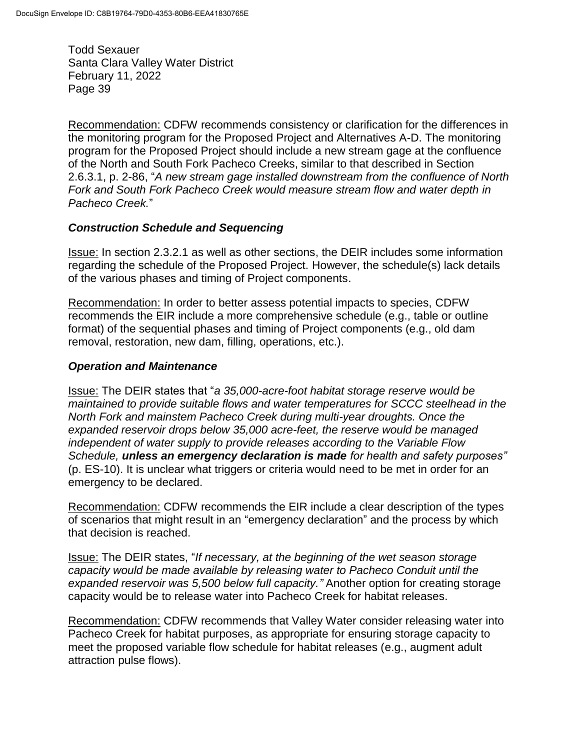Recommendation: CDFW recommends consistency or clarification for the differences in the monitoring program for the Proposed Project and Alternatives A-D. The monitoring program for the Proposed Project should include a new stream gage at the confluence of the North and South Fork Pacheco Creeks, similar to that described in Section 2.6.3.1, p. 2-86, "*A new stream gage installed downstream from the confluence of North Fork and South Fork Pacheco Creek would measure stream flow and water depth in Pacheco Creek.*"

#### *Construction Schedule and Sequencing*

Issue: In section 2.3.2.1 as well as other sections, the DEIR includes some information regarding the schedule of the Proposed Project. However, the schedule(s) lack details of the various phases and timing of Project components.

Recommendation: In order to better assess potential impacts to species, CDFW recommends the EIR include a more comprehensive schedule (e.g., table or outline format) of the sequential phases and timing of Project components (e.g., old dam removal, restoration, new dam, filling, operations, etc.).

#### *Operation and Maintenance*

Issue: The DEIR states that "*a 35,000-acre-foot habitat storage reserve would be maintained to provide suitable flows and water temperatures for SCCC steelhead in the North Fork and mainstem Pacheco Creek during multi-year droughts. Once the expanded reservoir drops below 35,000 acre-feet, the reserve would be managed independent of water supply to provide releases according to the Variable Flow Schedule, unless an emergency declaration is made for health and safety purposes"*  (p. ES-10). It is unclear what triggers or criteria would need to be met in order for an emergency to be declared.

Recommendation: CDFW recommends the EIR include a clear description of the types of scenarios that might result in an "emergency declaration" and the process by which that decision is reached.

Issue: The DEIR states, "*If necessary, at the beginning of the wet season storage capacity would be made available by releasing water to Pacheco Conduit until the expanded reservoir was 5,500 below full capacity."* Another option for creating storage capacity would be to release water into Pacheco Creek for habitat releases.

Recommendation: CDFW recommends that Valley Water consider releasing water into Pacheco Creek for habitat purposes, as appropriate for ensuring storage capacity to meet the proposed variable flow schedule for habitat releases (e.g., augment adult attraction pulse flows).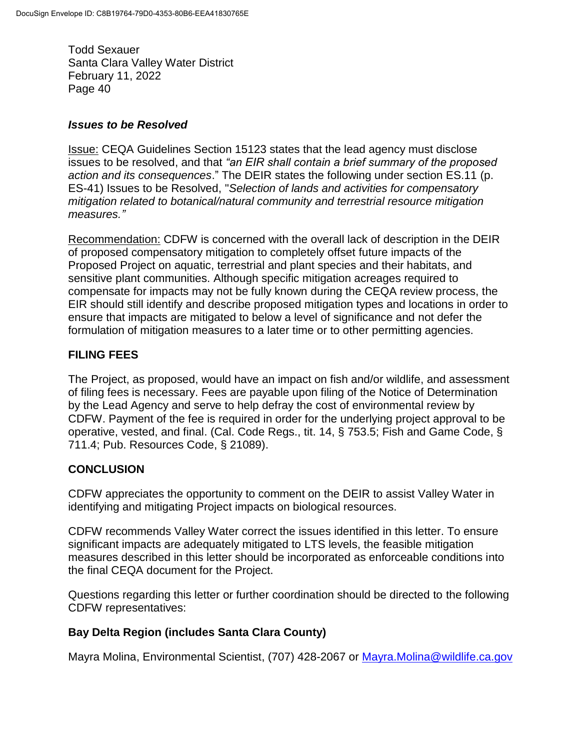#### *Issues to be Resolved*

Issue: CEQA Guidelines Section 15123 states that the lead agency must disclose issues to be resolved, and that *"an EIR shall contain a brief summary of the proposed action and its consequences*." The DEIR states the following under section ES.11 (p. ES-41) Issues to be Resolved, "*Selection of lands and activities for compensatory mitigation related to botanical/natural community and terrestrial resource mitigation measures."*

Recommendation: CDFW is concerned with the overall lack of description in the DEIR of proposed compensatory mitigation to completely offset future impacts of the Proposed Project on aquatic, terrestrial and plant species and their habitats, and sensitive plant communities. Although specific mitigation acreages required to compensate for impacts may not be fully known during the CEQA review process, the EIR should still identify and describe proposed mitigation types and locations in order to ensure that impacts are mitigated to below a level of significance and not defer the formulation of mitigation measures to a later time or to other permitting agencies.

# **FILING FEES**

The Project, as proposed, would have an impact on fish and/or wildlife, and assessment of filing fees is necessary. Fees are payable upon filing of the Notice of Determination by the Lead Agency and serve to help defray the cost of environmental review by CDFW. Payment of the fee is required in order for the underlying project approval to be operative, vested, and final. (Cal. Code Regs., tit. 14, § 753.5; Fish and Game Code, § 711.4; Pub. Resources Code, § 21089).

# **CONCLUSION**

CDFW appreciates the opportunity to comment on the DEIR to assist Valley Water in identifying and mitigating Project impacts on biological resources.

CDFW recommends Valley Water correct the issues identified in this letter. To ensure significant impacts are adequately mitigated to LTS levels, the feasible mitigation measures described in this letter should be incorporated as enforceable conditions into the final CEQA document for the Project.

Questions regarding this letter or further coordination should be directed to the following CDFW representatives:

## **Bay Delta Region (includes Santa Clara County)**

Mayra Molina, Environmental Scientist, (707) 428-2067 or [Mayra.Molina@wildlife.ca.gov](mailto:Mayra.Molina@wildlife.ca.gov)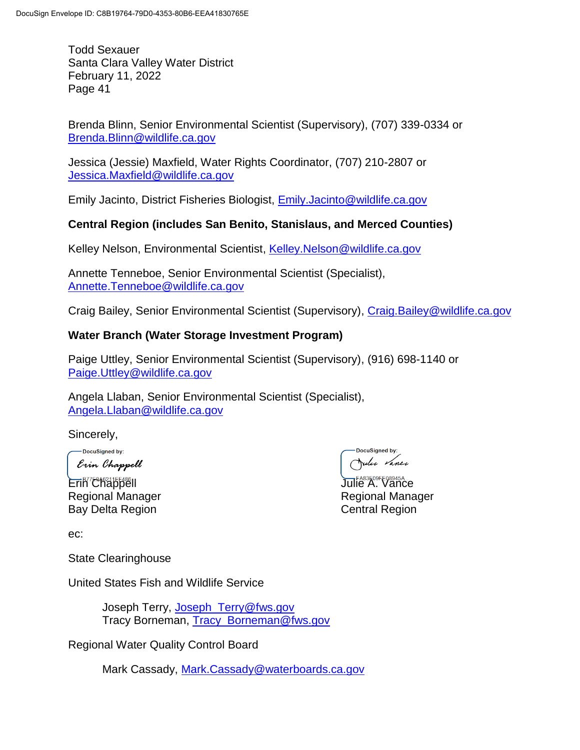Brenda Blinn, Senior Environmental Scientist (Supervisory), (707) 339-0334 or [Brenda.Blinn@wildlife.ca.gov](mailto:Brenda.Blinn@wildlife.ca.gov)

Jessica (Jessie) Maxfield, Water Rights Coordinator, (707) 210-2807 or [Jessica.Maxfield@wildlife.ca.gov](mailto:Jessica.Maxfield@wildlife.ca.gov)

Emily Jacinto, District Fisheries Biologist, [Emily.Jacinto@wildlife.ca.gov](mailto:Emily.Jacinto@wildlife.ca.gov)

#### **Central Region (includes San Benito, Stanislaus, and Merced Counties)**

Kelley Nelson, Environmental Scientist, [Kelley.Nelson@wildlife.ca.gov](mailto:Kelley.Nelson@wildlife.ca.gov)

Annette Tenneboe, Senior Environmental Scientist (Specialist), [Annette.Tenneboe@wildlife.ca.gov](mailto:Annette.Tenneboe@wildlife.ca.gov)

Craig Bailey, Senior Environmental Scientist (Supervisory), [Craig.Bailey@wildlife.ca.gov](mailto:Craig.Bailey@wildlife.ca.gov)

#### **Water Branch (Water Storage Investment Program)**

Paige Uttley, Senior Environmental Scientist (Supervisory), (916) 698-1140 or [Paige.Uttley@wildlife.ca.gov](mailto:Paige.Uttley@wildlife.ca.gov)

Angela Llaban, Senior Environmental Scientist (Specialist), [Angela.Llaban@wildlife.ca.gov](mailto:Angela.Llaban@wildlife.ca.gov)

Sincerely,

-DocuSigned by: Erin Chappell

**Erin<sup>FA83E09FE08945A...**<br>Erin Chappell Julie A. Vance</sup> Regional Manager **Regional Manager** Regional Manager Bay Delta Region **Central Region** 

DocuSianed by: Julie Vance

ec:

State Clearinghouse

United States Fish and Wildlife Service

Joseph Terry, [Joseph\\_Terry@fws.gov](mailto:Joseph_Terry@fws.gov) Tracy Borneman, Tracy\_Borneman@fws.gov

Regional Water Quality Control Board

Mark Cassady, [Mark.Cassady@waterboards.ca.gov](mailto:Mark.Cassady@waterboards.ca.gov)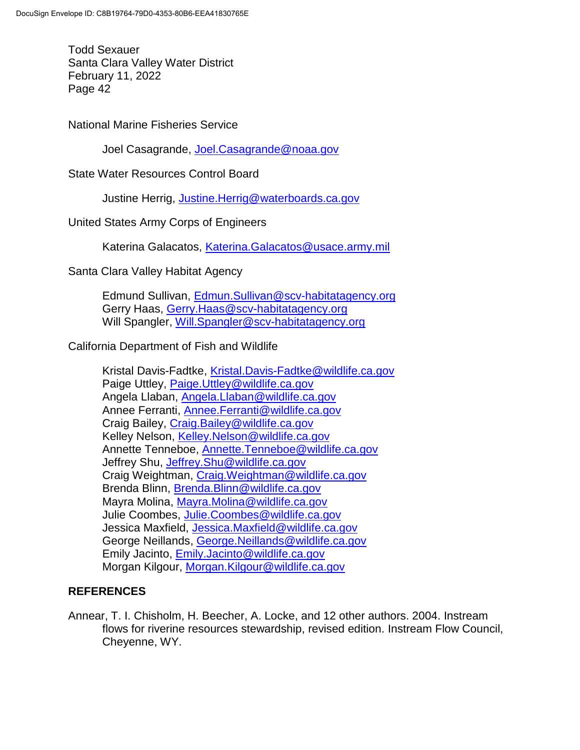National Marine Fisheries Service

Joel Casagrande, [Joel.Casagrande@noaa.gov](mailto:Joel.Casagrande@noaa.gov)

State Water Resources Control Board

Justine Herrig, [Justine.Herrig@waterboards.ca.gov](mailto:Justine.Herrig@waterboards.ca.gov)

United States Army Corps of Engineers

Katerina Galacatos, [Katerina.Galacatos@usace.army.mil](mailto:Katerina.Galacatos@usace.army.mil)

Santa Clara Valley Habitat Agency

Edmund Sullivan, [Edmun.Sullivan@scv-habitatagency.org](mailto:Edmun.Sullivan@scv-habitatagency.org) Gerry Haas, [Gerry.Haas@scv-habitatagency.org](mailto:Gerry.Haas@scv-habitatagency.org) Will Spangler, [Will.Spangler@scv-habitatagency.org](mailto:Will.Spangler@scv-habitatagency.org)

California Department of Fish and Wildlife

Kristal Davis-Fadtke, [Kristal.Davis-Fadtke@wildlife.ca.gov](mailto:Kristal.Davis-Fadtke@wildlife.ca.gov) Paige Uttley, [Paige.Uttley@wildlife.ca.gov](mailto:Paige.Uttley@wildlife.ca.gov) Angela Llaban, [Angela.Llaban@wildlife.ca.gov](mailto:Angela.Llaban@wildlife.ca.gov) Annee Ferranti, [Annee.Ferranti@wildlife.ca.gov](mailto:Annee.Ferranti@wildlife.ca.gov) Craig Bailey, [Craig.Bailey@wildlife.ca.gov](mailto:Craig.Bailey@wildlife.ca.gov) Kelley Nelson, [Kelley.Nelson@wildlife.ca.gov](mailto:Kelley.Nelson@wildlife.ca.gov) Annette Tenneboe, [Annette.Tenneboe@wildlife.ca.gov](mailto:Annette.Tenneboe@wildlife.ca.gov) Jeffrey Shu, [Jeffrey.Shu@wildlife.ca.gov](mailto:Jeffrey.Shu@wildlife.ca.gov) Craig Weightman, [Craig.Weightman@wildlife.ca.gov](mailto:Craig.Weightman@wildlife.ca.gov) Brenda Blinn, [Brenda.Blinn@wildlife.ca.gov](mailto:Brenda.Blinn@wildlife.ca.gov) Mayra Molina, [Mayra.Molina@wildlife.ca.gov](mailto:Mayra.Molina@wildlife.ca.gov) Julie Coombes, [Julie.Coombes@wildlife.ca.gov](mailto:Julie.Coombes@wildlife.ca.gov) Jessica Maxfield, [Jessica.Maxfield@wildlife.ca.gov](mailto:Jessica.Maxfield@wildlife.ca.gov) George Neillands, [George.Neillands@wildlife.ca.gov](mailto:George.Neillands@wildlife.ca.gov) Emily Jacinto, [Emily.Jacinto@wildlife.ca.gov](mailto:Emily.Jacinto@wildlife.ca.gov) Morgan Kilgour, [Morgan.Kilgour@wildlife.ca.gov](mailto:Morgan.Kilgour@wildlife.ca.gov)

#### **REFERENCES**

Annear, T. I. Chisholm, H. Beecher, A. Locke, and 12 other authors. 2004. Instream flows for riverine resources stewardship, revised edition. Instream Flow Council, Cheyenne, WY.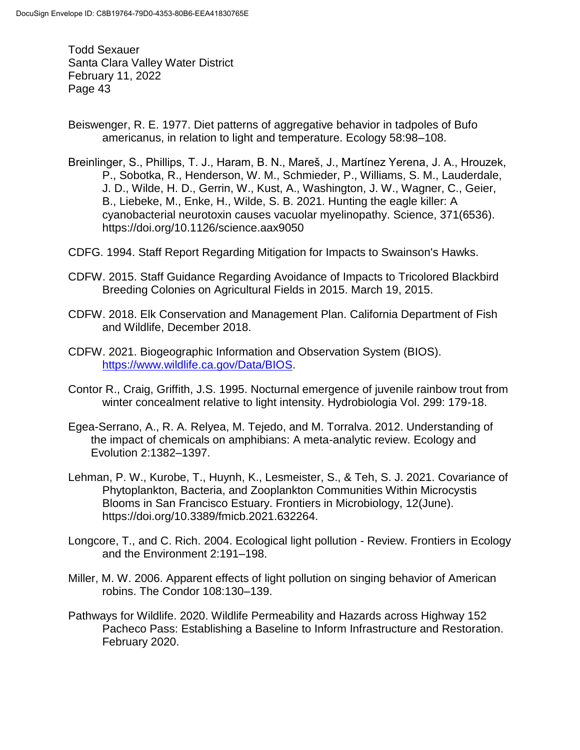- Beiswenger, R. E. 1977. Diet patterns of aggregative behavior in tadpoles of Bufo americanus, in relation to light and temperature. Ecology 58:98–108.
- Breinlinger, S., Phillips, T. J., Haram, B. N., Mareš, J., Martínez Yerena, J. A., Hrouzek, P., Sobotka, R., Henderson, W. M., Schmieder, P., Williams, S. M., Lauderdale, J. D., Wilde, H. D., Gerrin, W., Kust, A., Washington, J. W., Wagner, C., Geier, B., Liebeke, M., Enke, H., Wilde, S. B. 2021. Hunting the eagle killer: A cyanobacterial neurotoxin causes vacuolar myelinopathy. Science, 371(6536). https://doi.org/10.1126/science.aax9050
- CDFG. 1994. Staff Report Regarding Mitigation for Impacts to Swainson's Hawks.
- CDFW. 2015. Staff Guidance Regarding Avoidance of Impacts to Tricolored Blackbird Breeding Colonies on Agricultural Fields in 2015. March 19, 2015.
- CDFW. 2018. Elk Conservation and Management Plan. California Department of Fish and Wildlife, December 2018.
- CDFW. 2021. Biogeographic Information and Observation System (BIOS). [https://www.wildlife.ca.gov/Data/BIOS.](https://www.wildlife.ca.gov/Data/BIOS)
- Contor R., Craig, Griffith, J.S. 1995. Nocturnal emergence of juvenile rainbow trout from winter concealment relative to light intensity. Hydrobiologia Vol. 299: 179-18.
- Egea-Serrano, A., R. A. Relyea, M. Tejedo, and M. Torralva. 2012. Understanding of the impact of chemicals on amphibians: A meta-analytic review. Ecology and Evolution 2:1382–1397.
- Lehman, P. W., Kurobe, T., Huynh, K., Lesmeister, S., & Teh, S. J. 2021. Covariance of Phytoplankton, Bacteria, and Zooplankton Communities Within Microcystis Blooms in San Francisco Estuary. Frontiers in Microbiology, 12(June). https://doi.org/10.3389/fmicb.2021.632264.
- Longcore, T., and C. Rich. 2004. Ecological light pollution Review. Frontiers in Ecology and the Environment 2:191–198.
- Miller, M. W. 2006. Apparent effects of light pollution on singing behavior of American robins. The Condor 108:130–139.
- Pathways for Wildlife. 2020. Wildlife Permeability and Hazards across Highway 152 Pacheco Pass: Establishing a Baseline to Inform Infrastructure and Restoration. February 2020.